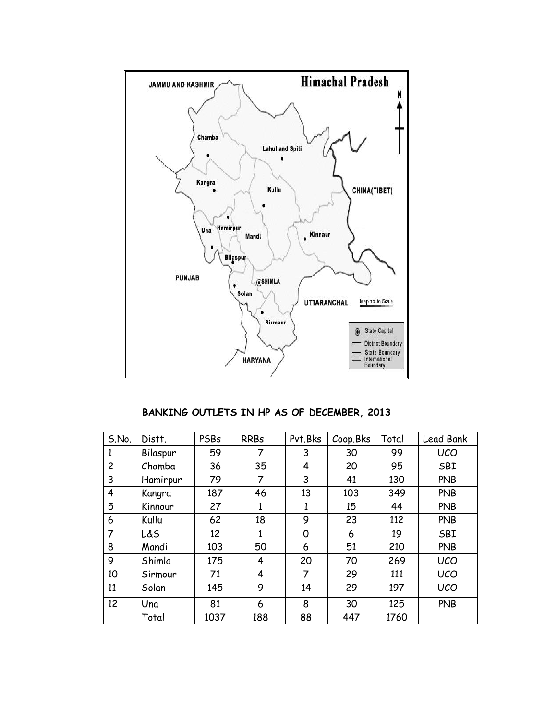

**BANKING OUTLETS IN HP AS OF DECEMBER, 2013**

| S.No.          | Distt.   | PSBs | <b>RRBs</b> | Pvt.Bks | Coop.Bks | Total | Lead Bank  |
|----------------|----------|------|-------------|---------|----------|-------|------------|
| $\mathbf{1}$   | Bilaspur | 59   | 7           | 3       | 30       | 99    | <b>UCO</b> |
| $\overline{c}$ | Chamba   | 36   | 35          | 4       | 20       | 95    | SBI        |
| 3              | Hamirpur | 79   | 7           | 3       | 41       | 130   | <b>PNB</b> |
| 4              | Kangra   | 187  | 46          | 13      | 103      | 349   | <b>PNB</b> |
| 5              | Kinnour  | 27   | 1           | 1       | 15       | 44    | <b>PNB</b> |
| 6              | Kullu    | 62   | 18          | 9       | 23       | 112   | <b>PNB</b> |
| 7              | L&S      | 12   | 1           | 0       | 6        | 19    | SBI        |
| 8              | Mandi    | 103  | 50          | 6       | 51       | 210   | <b>PNB</b> |
| 9              | Shimla   | 175  | 4           | 20      | 70       | 269   | <b>UCO</b> |
| 10             | Sirmour  | 71   | 4           | 7       | 29       | 111   | <b>UCO</b> |
| 11             | Solan    | 145  | 9           | 14      | 29       | 197   | <b>UCO</b> |
| 12             | Una      | 81   | 6           | 8       | 30       | 125   | <b>PNB</b> |
|                | Total    | 1037 | 188         | 88      | 447      | 1760  |            |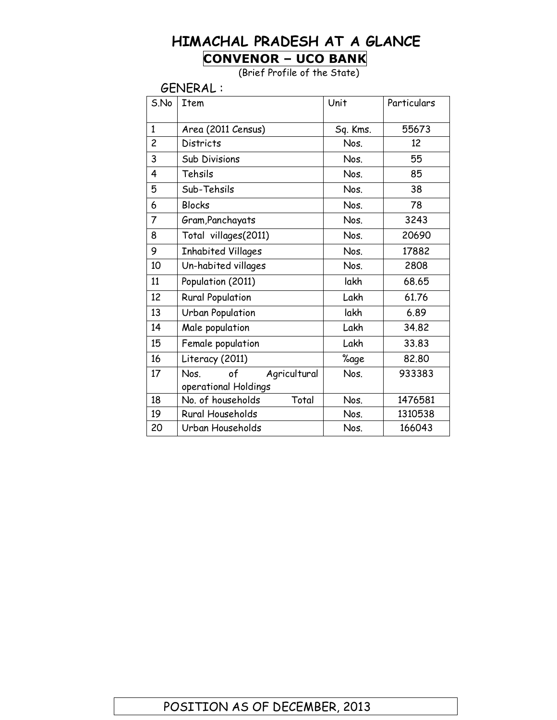## **HIMACHAL PRADESH AT A GLANCE CONVENOR – UCO BANK**

(Brief Profile of the State)

GENERAL :

| S.No           | <b>Item</b>                | Unit     | Particulars |
|----------------|----------------------------|----------|-------------|
| $\mathbf{1}$   | Area (2011 Census)         | Sq. Kms. | 55673       |
| $\overline{c}$ | <b>Districts</b>           | Nos.     | 12          |
| 3              | <b>Sub Divisions</b>       | Nos.     | 55          |
| 4              | Tehsils                    | Nos.     | 85          |
| 5              | Sub-Tehsils                | Nos.     | 38          |
| 6              | <b>Blocks</b>              | Nos.     | 78          |
| $\overline{7}$ | Gram, Panchayats           | Nos.     | 3243        |
| 8              | Total villages(2011)       | Nos.     | 20690       |
| 9              | <b>Inhabited Villages</b>  | Nos.     | 17882       |
| 10             | Un-habited villages        | Nos.     | 2808        |
| 11             | Population (2011)          | lakh     | 68.65       |
| 12             | <b>Rural Population</b>    | Lakh     | 61.76       |
| 13             | <b>Urban Population</b>    | lakh     | 6.89        |
| 14             | Male population            | Lakh     | 34.82       |
| 15             | Female population          | Lakh     | 33.83       |
| 16             | Literacy (2011)            | %age     | 82.80       |
| 17             | of<br>Agricultural<br>Nos. | Nos.     | 933383      |
|                | operational Holdings       |          |             |
| 18             | Total<br>No. of households | Nos.     | 1476581     |
| 19             | Rural Households           | Nos.     | 1310538     |
| 20             | Urban Households           | Nos.     | 166043      |

### POSITION AS OF DECEMBER, 2013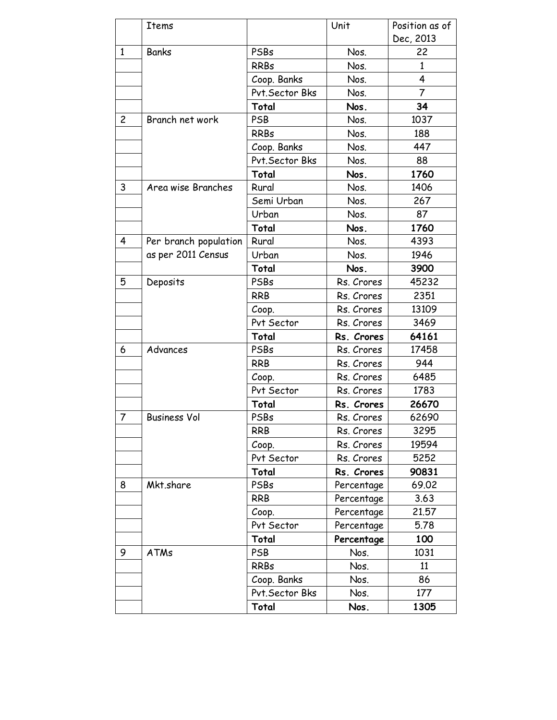|                | Items                 |                 | Unit       | Position as of |
|----------------|-----------------------|-----------------|------------|----------------|
|                |                       |                 |            | Dec, 2013      |
| $\mathbf{1}$   | <b>Banks</b>          | PSBs            | Nos.       | 22             |
|                |                       | <b>RRBs</b>     | Nos.       | 1              |
|                |                       | Coop. Banks     | Nos.       | 4              |
|                |                       | Pvt. Sector Bks | Nos.       | $\overline{7}$ |
|                |                       | Total           | Nos.       | 34             |
| $\overline{c}$ | Branch net work       | <b>PSB</b>      | Nos.       | 1037           |
|                |                       | <b>RRBs</b>     | Nos.       | 188            |
|                |                       | Coop. Banks     | Nos.       | 447            |
|                |                       | Pvt. Sector Bks | Nos.       | 88             |
|                |                       | Total           | Nos.       | 1760           |
| 3              | Area wise Branches    | Rural           | Nos.       | 1406           |
|                |                       | Semi Urban      | Nos.       | 267            |
|                |                       | Urban           | Nos.       | 87             |
|                |                       | Total           | Nos.       | 1760           |
| 4              | Per branch population | Rural           | Nos.       | 4393           |
|                | as per 2011 Census    | Urban           | Nos.       | 1946           |
|                |                       | Total           | Nos.       | 3900           |
| 5              | Deposits              | PSBs            | Rs. Crores | 45232          |
|                |                       | <b>RRB</b>      | Rs. Crores | 2351           |
|                |                       | Coop.           | Rs. Crores | 13109          |
|                |                       | Pvt Sector      | Rs. Crores | 3469           |
|                |                       | Total           | Rs. Crores | 64161          |
| 6              | Advances              | PSBs            | Rs. Crores | 17458          |
|                |                       | <b>RRB</b>      | Rs. Crores | 944            |
|                |                       | Coop.           | Rs. Crores | 6485           |
|                |                       | Pvt Sector      | Rs. Crores | 1783           |
|                |                       | Total           | Rs. Crores | 26670          |
| 7              | <b>Business Vol</b>   | PSBs            | Rs. Crores | 62690          |
|                |                       | RRB             | Rs. Crores | 3295           |
|                |                       | Coop.           | Rs. Crores | 19594          |
|                |                       | Pvt Sector      | Rs. Crores | 5252           |
|                |                       | Total           | Rs. Crores | 90831          |
| 8              | Mkt.share             | PSBs            | Percentage | 69.02          |
|                |                       | <b>RRB</b>      | Percentage | 3.63           |
|                |                       | Coop.           | Percentage | 21.57          |
|                |                       | Pvt Sector      | Percentage | 5.78           |
|                |                       | Total           | Percentage | 100            |
| 9              | <b>ATMs</b>           | <b>PSB</b>      | Nos.       | 1031           |
|                |                       | <b>RRBs</b>     | Nos.       | 11             |
|                |                       | Coop. Banks     | Nos.       | 86             |
|                |                       | Pvt. Sector Bks | Nos.       | 177            |
|                |                       | Total           | Nos.       | 1305           |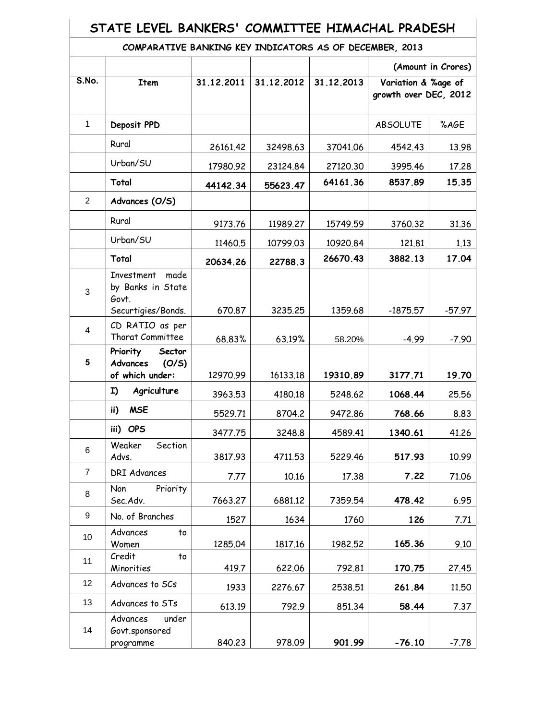### **STATE LEVEL BANKERS' COMMITTEE HIMACHAL PRADESH**

#### **COMPARATIVE BANKING KEY INDICATORS AS OF DECEMBER, 2013**

|                         |                                                            |            |            |            |                                              | (Amount in Crores) |
|-------------------------|------------------------------------------------------------|------------|------------|------------|----------------------------------------------|--------------------|
| <b>S.No.</b>            | Item                                                       | 31.12.2011 | 31.12.2012 | 31.12.2013 | Variation & %age of<br>growth over DEC, 2012 |                    |
| $\mathbf{1}$            | Deposit PPD                                                |            |            |            | <b>ABSOLUTE</b>                              | %AGE               |
|                         | Rural                                                      | 26161.42   | 32498.63   | 37041.06   | 4542.43                                      | 13.98              |
|                         | Urban/SU                                                   | 17980.92   | 23124.84   | 27120.30   | 3995.46                                      | 17.28              |
|                         | Total                                                      | 44142.34   | 55623.47   | 64161.36   | 8537.89                                      | 15.35              |
| $\overline{2}$          | Advances (O/S)                                             |            |            |            |                                              |                    |
|                         | Rural                                                      | 9173.76    | 11989.27   | 15749.59   | 3760.32                                      | 31.36              |
|                         | Urban/SU                                                   | 11460.5    | 10799.03   | 10920.84   | 121.81                                       | 1.13               |
|                         | Total                                                      | 20634.26   | 22788.3    | 26670.43   | 3882.13                                      | 17.04              |
| 3                       | made<br>Investment<br>by Banks in State<br>Govt.           |            |            |            |                                              |                    |
|                         | Securtigies/Bonds.                                         | 670.87     | 3235.25    | 1359.68    | $-1875.57$                                   | $-57.97$           |
| $\overline{\mathbf{4}}$ | CD RATIO as per<br>Thorat Committee                        | 68.83%     | 63.19%     | 58.20%     | $-4.99$                                      | $-7.90$            |
| 5                       | Priority<br>Sector<br>Advances<br>(O/S)<br>of which under: | 12970.99   | 16133.18   | 19310.89   | 3177.71                                      | 19.70              |
|                         | Agriculture<br>I)                                          | 3963.53    | 4180.18    | 5248.62    | 1068.44                                      | 25.56              |
|                         | <b>MSE</b><br>ii)                                          | 5529.71    | 8704.2     | 9472.86    | 768.66                                       | 8.83               |
|                         | iii) OPS                                                   | 3477.75    | 3248.8     | 4589.41    | 1340.61                                      | 41.26              |
| $6\phantom{1}$          | Section<br>Weaker<br>Advs.                                 | 3817.93    | 4711.53    | 5229.46    | 517.93                                       | 10.99              |
| $\overline{7}$          | <b>DRI Advances</b>                                        | 7.77       | 10.16      | 17.38      | 7.22                                         | 71.06              |
| 8                       | Non<br>Priority<br>Sec.Adv.                                | 7663.27    | 6881.12    | 7359.54    | 478.42                                       | 6.95               |
| $\boldsymbol{9}$        | No. of Branches                                            | 1527       | 1634       | 1760       | 126                                          | 7.71               |
| 10                      | Advances<br>to<br>Women                                    | 1285.04    | 1817.16    | 1982.52    | 165.36                                       | 9.10               |
| 11                      | Credit<br>to<br>Minorities                                 | 419.7      | 622.06     | 792.81     | 170.75                                       | 27.45              |
| 12                      | Advances to SCs                                            | 1933       | 2276.67    | 2538.51    | 261.84                                       | 11.50              |
| 13                      | Advances to STs                                            | 613.19     | 792.9      | 851.34     | 58.44                                        | 7.37               |
| 14                      | Advances<br>under<br>Govt.sponsored<br>programme           | 840.23     | 978.09     | 901.99     | $-76.10$                                     | $-7.78$            |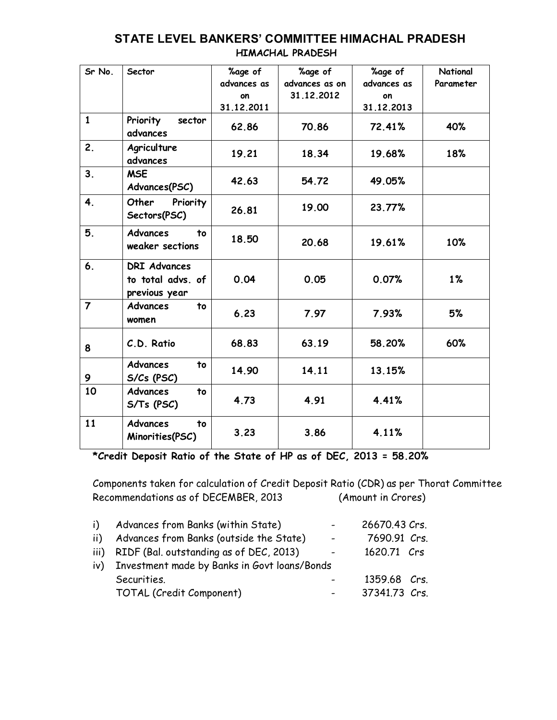| Sr No.         | Sector                                                    | %age of<br>advances as | %age of<br>advances as on | %age of<br>advances as | National<br>Parameter |
|----------------|-----------------------------------------------------------|------------------------|---------------------------|------------------------|-----------------------|
|                |                                                           | on                     | 31.12.2012                | on                     |                       |
|                |                                                           | 31.12.2011             |                           | 31.12.2013             |                       |
| $\mathbf{1}$   | Priority<br>sector<br>advances                            | 62.86                  | 70.86                     | 72.41%                 | 40%                   |
| 2.             | Agriculture<br>advances                                   | 19.21                  | 18.34                     | 19.68%                 | 18%                   |
| 3.             | <b>MSE</b><br>Advances(PSC)                               | 42.63                  | 54.72                     | 49.05%                 |                       |
| 4.             | Other<br>Priority<br>Sectors(PSC)                         | 26.81                  | 19.00                     | 23.77%                 |                       |
| 5.             | <b>Advances</b><br>to<br>weaker sections                  | 18.50                  | 20.68                     | 19.61%                 | 10%                   |
| 6.             | <b>DRI Advances</b><br>to total advs. of<br>previous year | 0.04                   | 0.05                      | 0.07%                  | 1%                    |
| $\overline{7}$ | <b>Advances</b><br>to<br>women                            | 6.23                   | 7.97                      | 7.93%                  | 5%                    |
| 8              | C.D. Ratio                                                | 68.83                  | 63.19                     | 58.20%                 | 60%                   |
| 9              | <b>Advances</b><br>to<br>S/Cs (PSC)                       | 14.90                  | 14.11                     | 13.15%                 |                       |
| 10             | <b>Advances</b><br>to<br>$S/Ts$ (PSC)                     | 4.73                   | 4.91                      | 4.41%                  |                       |
| 11             | <b>Advances</b><br>to<br>Minorities(PSC)                  | 3.23                   | 3.86                      | 4.11%                  |                       |

#### **STATE LEVEL BANKERS' COMMITTEE HIMACHAL PRADESH HIMACHAL PRADESH**

**\*Credit Deposit Ratio of the State of HP as of DEC, 2013 = 58.20%**

Components taken for calculation of Credit Deposit Ratio (CDR) as per Thorat Committee Recommendations as of DECEMBER, 2013 (Amount in Crores)

| i)  | Advances from Banks (within State)               |        | 26670.43 Crs. |  |
|-----|--------------------------------------------------|--------|---------------|--|
| ii) | Advances from Banks (outside the State)          | $\sim$ | 7690.91 Crs.  |  |
|     | iii) RIDF (Bal. outstanding as of DEC, 2013)     |        | 1620.71 Crs   |  |
|     | iv) Investment made by Banks in Govt loans/Bonds |        |               |  |
|     | Securities.                                      |        | 1359.68 Crs.  |  |
|     | TOTAL (Credit Component)                         |        | 37341.73 Crs. |  |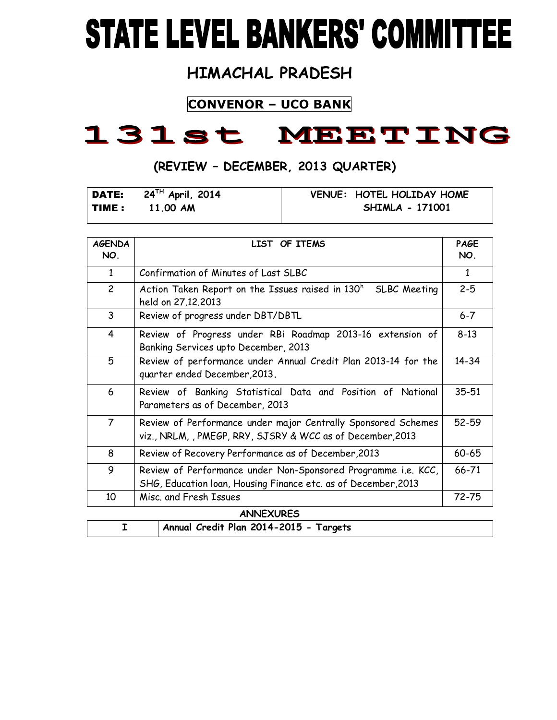# **STATE LEVEL BANKERS' COMMITTEE**

## **HIMACHAL PRADESH**

## **CONVENOR – UCO BANK**

## 131st MEETING

## **(REVIEW – DECEMBER, 2013 QUARTER)**

|              | DATE: $24^{TH}$ April, 2014 | VENUE: HOTEL HOLIDAY HOME |
|--------------|-----------------------------|---------------------------|
| <b>TIME:</b> | 11.00 AM                    | SHIMLA - 171001           |

| <b>AGENDA</b><br>NO. | LIST OF ITEMS                                                                                                                   | PAGE<br>NO.  |
|----------------------|---------------------------------------------------------------------------------------------------------------------------------|--------------|
| $\mathbf{1}$         | Confirmation of Minutes of Last SLBC                                                                                            | $\mathbf{1}$ |
| $\overline{c}$       | Action Taken Report on the Issues raised in 130 <sup>h</sup><br>SLBC Meeting<br>held on 27.12.2013                              | $2 - 5$      |
| 3                    | Review of progress under DBT/DBTL                                                                                               | $6 - 7$      |
| 4                    | Review of Progress under RBi Roadmap 2013-16 extension of<br>Banking Services upto December, 2013                               | $8 - 13$     |
| 5                    | Review of performance under Annual Credit Plan 2013-14 for the<br>quarter ended December, 2013.                                 | 14-34        |
| 6                    | Review of Banking Statistical Data and Position of National<br>Parameters as of December, 2013                                  | 35-51        |
| $\overline{7}$       | Review of Performance under major Centrally Sponsored Schemes<br>viz., NRLM, , PMEGP, RRY, SJSRY & WCC as of December, 2013     | 52-59        |
| 8                    | Review of Recovery Performance as of December, 2013                                                                             | 60-65        |
| 9                    | Review of Performance under Non-Sponsored Programme i.e. KCC,<br>SHG, Education loan, Housing Finance etc. as of December, 2013 | 66-71        |
| 10                   | Misc. and Fresh Issues                                                                                                          | 72-75        |
|                      | <b>ANNEXURES</b>                                                                                                                |              |

| .   ._.  _ . |                                        |  |  |
|--------------|----------------------------------------|--|--|
|              | Annual Credit Plan 2014-2015 - Targets |  |  |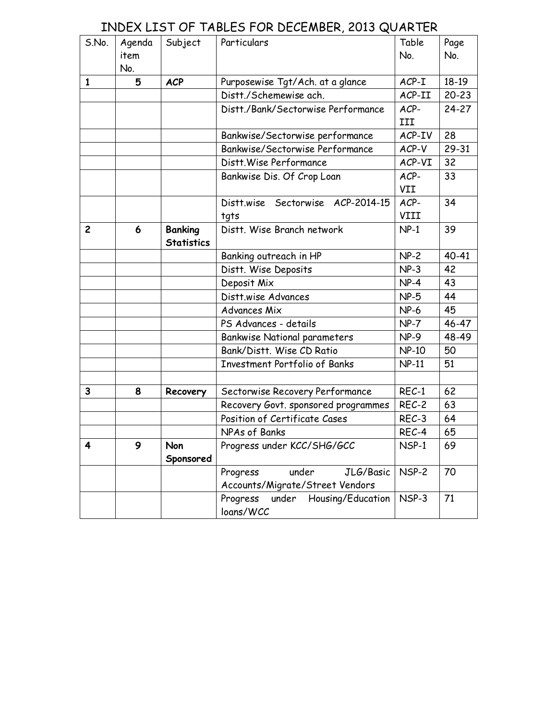## INDEX LIST OF TABLES FOR DECEMBER, 2013 QUARTER

| S.No.        | Agenda | Subject           | Particulars                                         | Table        | Page      |
|--------------|--------|-------------------|-----------------------------------------------------|--------------|-----------|
|              | item   |                   |                                                     | No.          | No.       |
|              | No.    |                   |                                                     |              |           |
| $\mathbf{1}$ | 5      | <b>ACP</b>        | Purposewise Tgt/Ach. at a glance                    | $ACP-I$      | $18-19$   |
|              |        |                   | Distt./Schemewise ach.                              | ACP-II       | $20 - 23$ |
|              |        |                   | Distt./Bank/Sectorwise Performance                  | ACP-         | $24 - 27$ |
|              |        |                   |                                                     | III          |           |
|              |        |                   | Bankwise/Sectorwise performance                     | ACP-IV       | 28        |
|              |        |                   | Bankwise/Sectorwise Performance                     | ACP-V        | 29-31     |
|              |        |                   | Distt. Wise Performance                             | ACP-VI       | 32        |
|              |        |                   | Bankwise Dis. Of Crop Loan                          | ACP-         | 33        |
|              |        |                   |                                                     | VII          |           |
|              |        |                   | Distt.wise Sectorwise ACP-2014-15                   | ACP-         | 34        |
|              |        |                   | tgts                                                | VIII         |           |
| $\mathbf{2}$ | 6      | <b>Banking</b>    | Distt. Wise Branch network                          | $NP-1$       | 39        |
|              |        | <b>Statistics</b> |                                                     |              |           |
|              |        |                   | Banking outreach in HP                              | $NP-2$       | 40-41     |
|              |        |                   | Distt. Wise Deposits                                | $NP-3$       | 42        |
|              |        |                   | Deposit Mix                                         | $NP-4$       | 43        |
|              |        |                   | Distt.wise Advances                                 | $NP-5$       | 44        |
|              |        |                   | Advances Mix                                        | $NP-6$       | 45        |
|              |        |                   | PS Advances - details                               | $NP-7$       | 46-47     |
|              |        |                   | <b>Bankwise National parameters</b>                 | $NP-9$       | 48-49     |
|              |        |                   | Bank/Distt, Wise CD Ratio                           | <b>NP-10</b> | 50        |
|              |        |                   | <b>Investment Portfolio of Banks</b>                | <b>NP-11</b> | 51        |
|              |        |                   |                                                     |              |           |
| 3            | 8      | Recovery          | Sectorwise Recovery Performance                     | $REC-1$      | 62        |
|              |        |                   | Recovery Govt. sponsored programmes                 | REC-2        | 63        |
|              |        |                   | Position of Certificate Cases                       | REC-3        | 64        |
|              |        |                   | NPAs of Banks                                       | REC-4        | 65        |
| 4            | 9      | Non               | Progress under KCC/SHG/GCC                          | NSP-1        | 69        |
|              |        | Sponsored         |                                                     |              |           |
|              |        |                   | under<br>JLG/Basic<br>Progress                      | NSP-2        | 70        |
|              |        |                   | Accounts/Migrate/Street Vendors                     |              |           |
|              |        |                   | Housing/Education<br>Progress<br>under<br>loans/WCC | NSP-3        | 71        |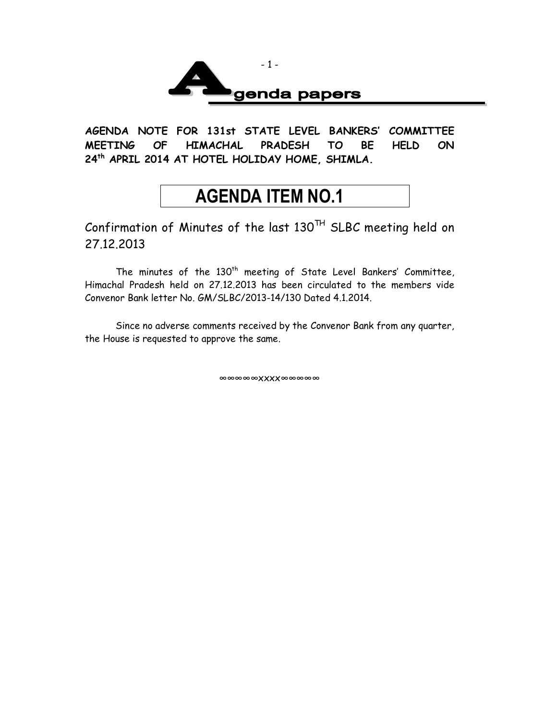

**AGENDA NOTE FOR 131st STATE LEVEL BANKERS' COMMITTEE MEETING OF HIMACHAL PRADESH TO BE HELD ON 24th APRIL 2014 AT HOTEL HOLIDAY HOME, SHIMLA.**

## **AGENDA ITEM NO.1**

Confirmation of Minutes of the last 130TH SLBC meeting held on 27.12.2013

The minutes of the  $130<sup>th</sup>$  meeting of State Level Bankers' Committee, Himachal Pradesh held on 27.12.2013 has been circulated to the members vide Convenor Bank letter No. GM/SLBC/2013-14/130 Dated 4.1.2014.

Since no adverse comments received by the Convenor Bank from any quarter, the House is requested to approve the same.

∞∞∞∞∞xxxx∞∞∞∞∞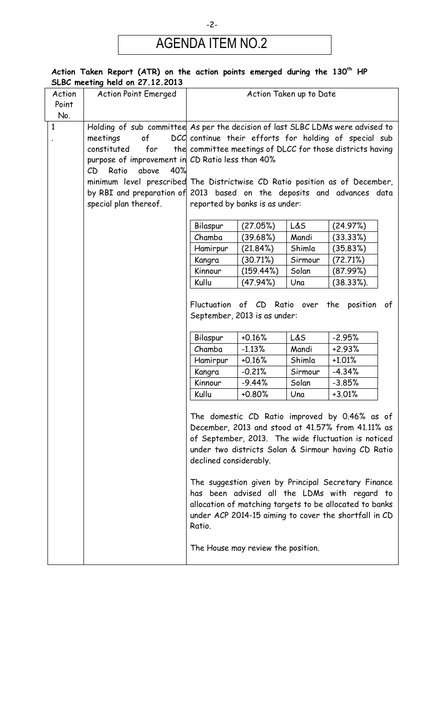## AGENDA ITEM NO.2

|              | ACTION TAKEN REPORT (ATR) ON THE ACTION POINTS EMERGED OURING THE 150 FIF<br>SLBC meeting held on 27.12.2013 |                        |                                    |                         |                                                           |
|--------------|--------------------------------------------------------------------------------------------------------------|------------------------|------------------------------------|-------------------------|-----------------------------------------------------------|
| Action       | <b>Action Point Emerged</b>                                                                                  |                        |                                    | Action Taken up to Date |                                                           |
| Point        |                                                                                                              |                        |                                    |                         |                                                           |
| No.          |                                                                                                              |                        |                                    |                         |                                                           |
| $\mathbf{1}$ | Holding of sub committee As per the decision of last SLBC LDMs were advised to                               |                        |                                    |                         |                                                           |
|              | meetings<br>of                                                                                               |                        |                                    |                         | DCC continue their efforts for holding of special sub     |
|              | constituted<br>for                                                                                           |                        |                                    |                         | the committee meetings of DLCC for those districts having |
|              | purpose of improvement in CD Ratio less than 40%                                                             |                        |                                    |                         |                                                           |
|              | Ratio<br>above<br>40%<br>CD                                                                                  |                        |                                    |                         |                                                           |
|              | minimum level prescribed The Districtwise CD Ratio position as of December,                                  |                        |                                    |                         |                                                           |
|              | by RBI and preparation of 2013 based on the deposits and advances data                                       |                        |                                    |                         |                                                           |
|              | special plan thereof.                                                                                        |                        | reported by banks is as under:     |                         |                                                           |
|              |                                                                                                              | Bilaspur               | (27.05%)                           | L&S                     | (24.97%)                                                  |
|              |                                                                                                              | Chamba                 | (39.68%)                           | Mandi                   | (33.33%)                                                  |
|              |                                                                                                              | Hamirpur               | (21.84%)                           | Shimla                  | (35.83%)                                                  |
|              |                                                                                                              | Kangra                 | (30.71%)                           | Sirmour                 | (72.71%)                                                  |
|              |                                                                                                              | Kinnour                | (159.44%)                          | Solan                   | (87.99%)                                                  |
|              |                                                                                                              | Kullu                  | (47.94%)                           | Una                     | $(38.33\%).$                                              |
|              |                                                                                                              |                        |                                    |                         |                                                           |
|              |                                                                                                              |                        | Fluctuation of CD Ratio over       |                         | the position of                                           |
|              |                                                                                                              |                        | September, 2013 is as under:       |                         |                                                           |
|              |                                                                                                              |                        |                                    |                         |                                                           |
|              |                                                                                                              | Bilaspur               | $+0.16%$                           | L&S                     | $-2.95%$                                                  |
|              |                                                                                                              | Chamba                 | $-1.13%$                           | Mandi                   | $+2.93%$                                                  |
|              |                                                                                                              | Hamirpur               | $+0.16%$                           | Shimla                  | $+1.01%$                                                  |
|              |                                                                                                              | Kangra                 | $-0.21%$                           | Sirmour                 | $-4.34%$                                                  |
|              |                                                                                                              | Kinnour                | $-9.44%$                           | Solan                   | $-3.85%$                                                  |
|              |                                                                                                              | Kullu                  | $+0.80%$                           | Una                     | $+3.01%$                                                  |
|              |                                                                                                              |                        |                                    |                         |                                                           |
|              |                                                                                                              |                        |                                    |                         | The domestic CD Ratio improved by 0.46% as of             |
|              |                                                                                                              |                        |                                    |                         | December, 2013 and stood at 41.57% from 41.11% as         |
|              |                                                                                                              |                        |                                    |                         | of September, 2013. The wide fluctuation is noticed       |
|              |                                                                                                              |                        |                                    |                         | under two districts Solan & Sirmour having CD Ratio       |
|              |                                                                                                              | declined considerably. |                                    |                         |                                                           |
|              |                                                                                                              |                        |                                    |                         |                                                           |
|              |                                                                                                              |                        |                                    |                         | The suggestion given by Principal Secretary Finance       |
|              |                                                                                                              |                        |                                    |                         | has been advised all the LDMs with regard to              |
|              |                                                                                                              |                        |                                    |                         | allocation of matching targets to be allocated to banks   |
|              |                                                                                                              |                        |                                    |                         | under ACP 2014-15 aiming to cover the shortfall in CD     |
|              |                                                                                                              | Ratio.                 |                                    |                         |                                                           |
|              |                                                                                                              |                        |                                    |                         |                                                           |
|              |                                                                                                              |                        | The House may review the position. |                         |                                                           |
|              |                                                                                                              |                        |                                    |                         |                                                           |

## **Action Taken Report (ATR) on the action points emerged during the 130th HP**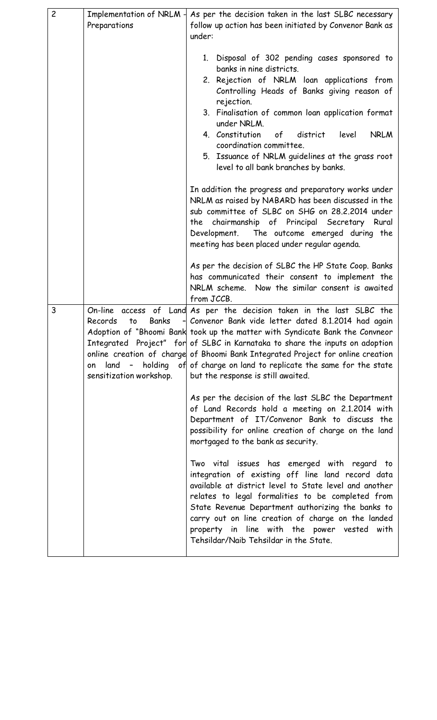| $\overline{c}$ | Implementation of NRLM-       | As per the decision taken in the last SLBC necessary                                                    |
|----------------|-------------------------------|---------------------------------------------------------------------------------------------------------|
|                | Preparations                  | follow up action has been initiated by Convenor Bank as                                                 |
|                |                               | under:                                                                                                  |
|                |                               |                                                                                                         |
|                |                               | 1. Disposal of 302 pending cases sponsored to<br>banks in nine districts.                               |
|                |                               | 2. Rejection of NRLM loan applications from                                                             |
|                |                               | Controlling Heads of Banks giving reason of<br>rejection.                                               |
|                |                               | 3. Finalisation of common loan application format                                                       |
|                |                               | under NRLM.<br>4. Constitution<br>of<br>district<br><b>NRLM</b><br>level                                |
|                |                               | coordination committee.                                                                                 |
|                |                               | 5. Issuance of NRLM guidelines at the grass root                                                        |
|                |                               | level to all bank branches by banks.                                                                    |
|                |                               | In addition the progress and preparatory works under                                                    |
|                |                               | NRLM as raised by NABARD has been discussed in the                                                      |
|                |                               | sub committee of SLBC on SHG on 28.2.2014 under                                                         |
|                |                               | the chairmanship of Principal Secretary Rural<br>Development. The outcome emerged during the            |
|                |                               | meeting has been placed under regular agenda.                                                           |
|                |                               |                                                                                                         |
|                |                               | As per the decision of SLBC the HP State Coop. Banks                                                    |
|                |                               | has communicated their consent to implement the                                                         |
|                |                               | NRLM scheme. Now the similar consent is awaited<br>from JCCB.                                           |
| 3              | On-line<br>access of          | Land As per the decision taken in the last SLBC the                                                     |
|                | Records<br><b>Banks</b><br>to | - Convenor Bank vide letter dated 8.1.2014 had again                                                    |
|                |                               | Adoption of "Bhoomi Bank took up the matter with Syndicate Bank the Convneor                            |
|                |                               | Integrated Project" for of SLBC in Karnataka to share the inputs on adoption                            |
|                |                               | online creation of charge of Bhoomi Bank Integrated Project for online creation                         |
|                | $land -$<br>on                | holding of of charge on land to replicate the same for the state                                        |
|                | sensitization workshop.       | but the response is still awaited.                                                                      |
|                |                               | As per the decision of the last SLBC the Department                                                     |
|                |                               | of Land Records hold a meeting on 2.1.2014 with                                                         |
|                |                               | Department of IT/Convenor Bank to discuss the                                                           |
|                |                               | possibility for online creation of charge on the land                                                   |
|                |                               | mortgaged to the bank as security.                                                                      |
|                |                               | Two vital issues has emerged with regard to                                                             |
|                |                               | integration of existing off line land record data                                                       |
|                |                               | available at district level to State level and another                                                  |
|                |                               | relates to legal formalities to be completed from                                                       |
|                |                               | State Revenue Department authorizing the banks to<br>carry out on line creation of charge on the landed |
|                |                               | property in line with the power vested with                                                             |
|                |                               | Tehsildar/Naib Tehsildar in the State.                                                                  |
|                |                               |                                                                                                         |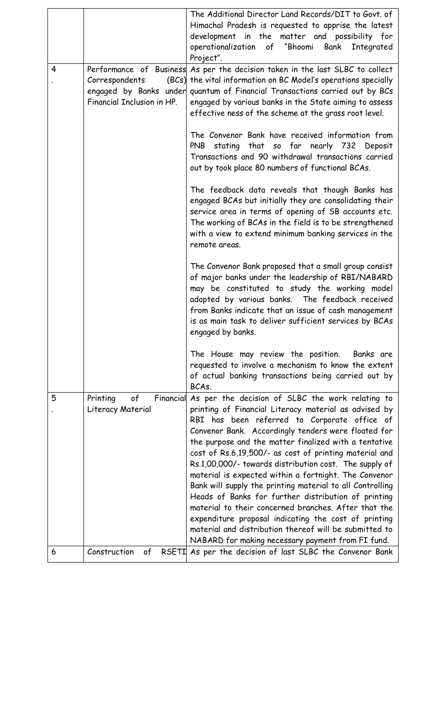|   |                                                  | The Additional Director Land Records/DIT to Govt. of<br>Himachal Pradesh is requested to apprise the latest<br>development in the matter and possibility for<br>of "Bhoomi<br>operationalization<br>Bank<br>Integrated<br>Project".                                                                                                                                                                                                                    |
|---|--------------------------------------------------|--------------------------------------------------------------------------------------------------------------------------------------------------------------------------------------------------------------------------------------------------------------------------------------------------------------------------------------------------------------------------------------------------------------------------------------------------------|
| 4 | Correspondents<br>Financial Inclusion in HP.     | Performance of Business As per the decision taken in the last SLBC to collect<br>(BCs) the vital information on BC Model's operations specially<br>engaged by Banks under quantum of Financial Transactions carried out by BCs<br>engaged by various banks in the State aiming to assess<br>effective ness of the scheme at the grass root level.                                                                                                      |
|   |                                                  | The Convenor Bank have received information from<br>stating that so far nearly 732<br><b>PNB</b><br>Deposit<br>Transactions and 90 withdrawal transactions carried<br>out by took place 80 numbers of functional BCAs.                                                                                                                                                                                                                                 |
|   |                                                  | The feedback data reveals that though Banks has<br>engaged BCAs but initially they are consolidating their<br>service area in terms of opening of SB accounts etc.<br>The working of BCAs in the field is to be strengthened<br>with a view to extend minimum banking services in the<br>remote areas.                                                                                                                                                 |
|   |                                                  | The Convenor Bank proposed that a small group consist<br>of major banks under the leadership of RBI/NABARD<br>may be constituted to study the working model<br>adopted by various banks. The feedback received<br>from Banks indicate that an issue of cash management<br>is as main task to deliver sufficient services by BCAs<br>engaged by banks.                                                                                                  |
|   |                                                  | The House may review the position. Banks are<br>requested to involve a mechanism to know the extent<br>of actual banking transactions being carried out by<br>BCAs.                                                                                                                                                                                                                                                                                    |
| 5 | of<br>Printing<br>Financial<br>Literacy Material | As per the decision of SLBC the work relating to<br>printing of Financial Literacy material as advised by<br>RBI has been referred to Corporate office of<br>Convenor Bank. Accordingly tenders were floated for<br>the purpose and the matter finalized with a tentative<br>cost of Rs.6,19,500/- as cost of printing material and<br>Rs.1,00,000/- towards distribution cost. The supply of<br>material is expected within a fortnight. The Convenor |
| 6 | Construction<br>of                               | Bank will supply the printing material to all Controlling<br>Heads of Banks for further distribution of printing<br>material to their concerned branches. After that the<br>expenditure proposal indicating the cost of printing<br>material and distribution thereof will be submitted to<br>NABARD for making necessary payment from FI fund.<br>RSETI As per the decision of last SLBC the Convenor Bank                                            |
|   |                                                  |                                                                                                                                                                                                                                                                                                                                                                                                                                                        |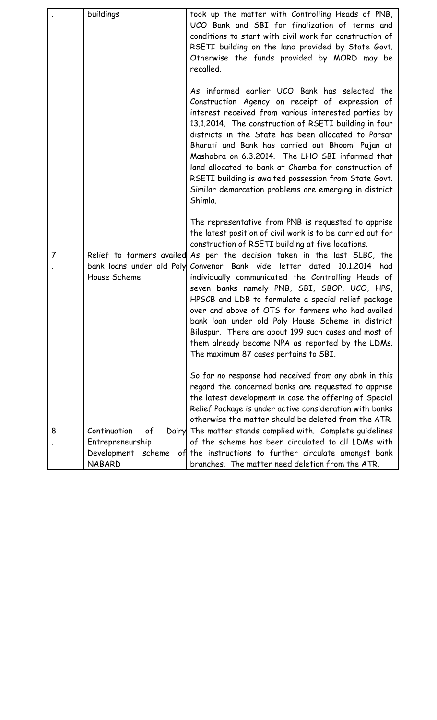|                | buildings                                                                     | took up the matter with Controlling Heads of PNB,<br>UCO Bank and SBI for finalization of terms and<br>conditions to start with civil work for construction of<br>RSETI building on the land provided by State Govt.<br>Otherwise the funds provided by MORD may be<br>recalled.                                                                                                                                                                                                                                                                                     |
|----------------|-------------------------------------------------------------------------------|----------------------------------------------------------------------------------------------------------------------------------------------------------------------------------------------------------------------------------------------------------------------------------------------------------------------------------------------------------------------------------------------------------------------------------------------------------------------------------------------------------------------------------------------------------------------|
|                |                                                                               | As informed earlier UCO Bank has selected the<br>Construction Agency on receipt of expression of<br>interest received from various interested parties by<br>13.1.2014. The construction of RSETI building in four<br>districts in the State has been allocated to Parsar<br>Bharati and Bank has carried out Bhoomi Pujan at<br>Mashobra on 6.3.2014. The LHO SBI informed that<br>land allocated to bank at Chamba for construction of<br>RSETI building is awaited possession from State Govt.<br>Similar demarcation problems are emerging in district<br>Shimla. |
|                |                                                                               | The representative from PNB is requested to apprise<br>the latest position of civil work is to be carried out for<br>construction of RSETI building at five locations.                                                                                                                                                                                                                                                                                                                                                                                               |
| $\overline{7}$ | bank loans under old Poly<br>House Scheme                                     | Relief to farmers availed As per the decision taken in the last SLBC, the<br>Convenor Bank vide letter dated 10.1.2014 had<br>individually communicated the Controlling Heads of<br>seven banks namely PNB, SBI, SBOP, UCO, HPG,<br>HPSCB and LDB to formulate a special relief package<br>over and above of OTS for farmers who had availed<br>bank loan under old Poly House Scheme in district<br>Bilaspur. There are about 199 such cases and most of<br>them already become NPA as reported by the LDMs.<br>The maximum 87 cases pertains to SBI.               |
|                |                                                                               | So far no response had received from any abnk in this<br>regard the concerned banks are requested to apprise<br>the latest development in case the offering of Special<br>Relief Package is under active consideration with banks<br>otherwise the matter should be deleted from the ATR.                                                                                                                                                                                                                                                                            |
| 8              | Continuation<br>of<br>Entrepreneurship<br>Development scheme<br><b>NABARD</b> | Dairy The matter stands complied with. Complete guidelines<br>of the scheme has been circulated to all LDMs with<br>of the instructions to further circulate amongst bank<br>branches. The matter need deletion from the ATR.                                                                                                                                                                                                                                                                                                                                        |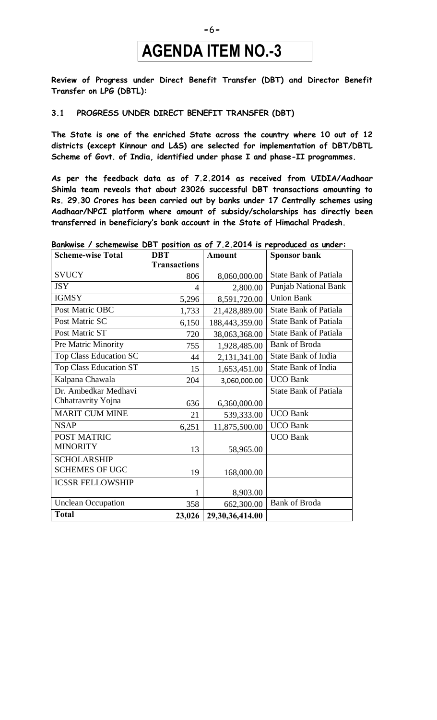## **AGENDA ITEM NO.-3**

**Review of Progress under Direct Benefit Transfer (DBT) and Director Benefit Transfer on LPG (DBTL):**

#### **3.1 PROGRESS UNDER DIRECT BENEFIT TRANSFER (DBT)**

**The State is one of the enriched State across the country where 10 out of 12 districts (except Kinnour and L&S) are selected for implementation of DBT/DBTL Scheme of Govt. of India, identified under phase I and phase-II programmes.**

**As per the feedback data as of 7.2.2014 as received from UIDIA/Aadhaar Shimla team reveals that about 23026 successful DBT transactions amounting to Rs. 29.30 Crores has been carried out by banks under 17 Centrally schemes using Aadhaar/NPCI platform where amount of subsidy/scholarships has directly been transferred in beneficiary's bank account in the State of Himachal Pradesh.**

| <b>Scheme-wise Total</b>      | <b>DBT</b>          | <b>Amount</b>   | <b>Sponsor bank</b>          |
|-------------------------------|---------------------|-----------------|------------------------------|
|                               | <b>Transactions</b> |                 |                              |
| <b>SVUCY</b>                  | 806                 | 8,060,000.00    | <b>State Bank of Patiala</b> |
| <b>JSY</b>                    | 4                   | 2,800.00        | <b>Punjab National Bank</b>  |
| <b>IGMSY</b>                  | 5,296               | 8,591,720.00    | <b>Union Bank</b>            |
| Post Matric OBC               | 1,733               | 21,428,889.00   | <b>State Bank of Patiala</b> |
| Post Matric SC                | 6,150               | 188,443,359.00  | <b>State Bank of Patiala</b> |
| Post Matric ST                | 720                 | 38,063,368.00   | <b>State Bank of Patiala</b> |
| Pre Matric Minority           | 755                 | 1,928,485.00    | <b>Bank of Broda</b>         |
| Top Class Education SC        | 44                  | 2,131,341.00    | <b>State Bank of India</b>   |
| <b>Top Class Education ST</b> | 15                  | 1,653,451.00    | State Bank of India          |
| Kalpana Chawala               | 204                 | 3,060,000.00    | <b>UCO Bank</b>              |
| Dr. Ambedkar Medhavi          |                     |                 | <b>State Bank of Patiala</b> |
| Chhatravrity Yojna            | 636                 | 6,360,000.00    |                              |
| <b>MARIT CUM MINE</b>         | 21                  | 539,333.00      | <b>UCO Bank</b>              |
| <b>NSAP</b>                   | 6,251               | 11,875,500.00   | <b>UCO Bank</b>              |
| POST MATRIC                   |                     |                 | <b>UCO Bank</b>              |
| <b>MINORITY</b>               | 13                  | 58,965.00       |                              |
| <b>SCHOLARSHIP</b>            |                     |                 |                              |
| <b>SCHEMES OF UGC</b>         | 19                  | 168,000.00      |                              |
| <b>ICSSR FELLOWSHIP</b>       |                     |                 |                              |
|                               | $\mathbf 1$         | 8,903.00        |                              |
| <b>Unclean Occupation</b>     | 358                 | 662,300.00      | <b>Bank of Broda</b>         |
| <b>Total</b>                  | 23,026              | 29,30,36,414.00 |                              |

#### **Bankwise / schemewise DBT position as of 7.2.2014 is reproduced as under:**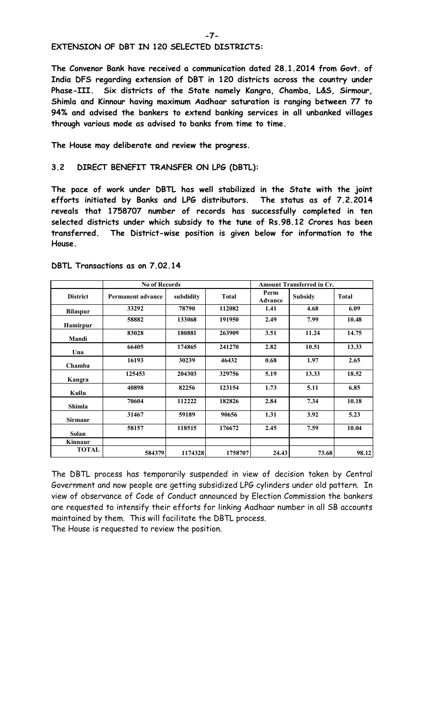**EXTENSION OF DBT IN 120 SELECTED DISTRICTS:**

**The Convenor Bank have received a communication dated 28.1.2014 from Govt. of India DFS regarding extension of DBT in 120 districts across the country under Phase-III. Six districts of the State namely Kangra, Chamba, L&S, Sirmour, Shimla and Kinnour having maximum Aadhaar saturation is ranging between 77 to 94% and advised the bankers to extend banking services in all unbanked villages through various mode as advised to banks from time to time.** 

**The House may deliberate and review the progress.** 

#### **3.2 DIRECT BENEFIT TRANSFER ON LPG (DBTL):**

**The pace of work under DBTL has well stabilized in the State with the joint efforts initiated by Banks and LPG distributors. The status as of 7.2.2014 reveals that 1758707 number of records has successfully completed in ten selected districts under which subsidy to the tune of Rs.98.12 Crores has been transferred. The District-wise position is given below for information to the House.**

|                 | <b>No of Records</b>     |           | <b>Amount Transferred in Cr.</b> |                        |                |              |  |
|-----------------|--------------------------|-----------|----------------------------------|------------------------|----------------|--------------|--|
| <b>District</b> | <b>Permanent advance</b> | subdidity | <b>Total</b>                     | Perm<br><b>Advance</b> | <b>Subsidy</b> | <b>Total</b> |  |
| <b>Bilaspur</b> | 33292                    | 78790     | 112082                           | 1.41                   | 4.68           | 6.09         |  |
| Hamirpur        | 58882                    | 133068    | 191950                           | 2.49                   | 7.99           | 10.48        |  |
| Mandi           | 83028                    | 180881    | 263909                           | 3.51                   | 11.24          | 14.75        |  |
| Una             | 66405                    | 174865    | 241270                           | 2.82                   | 10.51          | 13.33        |  |
| Chamba          | 16193                    | 30239     | 46432                            | 0.68                   | 1.97           | 2.65         |  |
| Kangra          | 125453                   | 204303    | 329756                           | 5.19                   | 13.33          | 18.52        |  |
| Kullu           | 40898                    | 82256     | 123154                           | 1.73                   | 5.11           | 6.85         |  |
| <b>Shimla</b>   | 70604                    | 112222    | 182826                           | 2.84                   | 7.34           | 10.18        |  |
| <b>Sirmaur</b>  | 31467                    | 59189     | 90656                            | 1.31                   | 3.92           | 5.23         |  |
| Solan           | 58157                    | 118515    | 176672                           | 2.45                   | 7.59           | 10.04        |  |
| Kinnaur         |                          |           |                                  |                        |                |              |  |
| <b>TOTAL</b>    | 584379                   | 1174328   | 1758707                          | 24.43                  | 73.68          | 98.12        |  |

**DBTL Transactions as on 7.02.14**

The DBTL process has temporarily suspended in view of decision taken by Central Government and now people are getting subsidized LPG cylinders under old pattern. In view of observance of Code of Conduct announced by Election Commission the bankers are requested to intensify their efforts for linking Aadhaar number in all SB accounts maintained by them. This will facilitate the DBTL process.

The House is requested to review the position.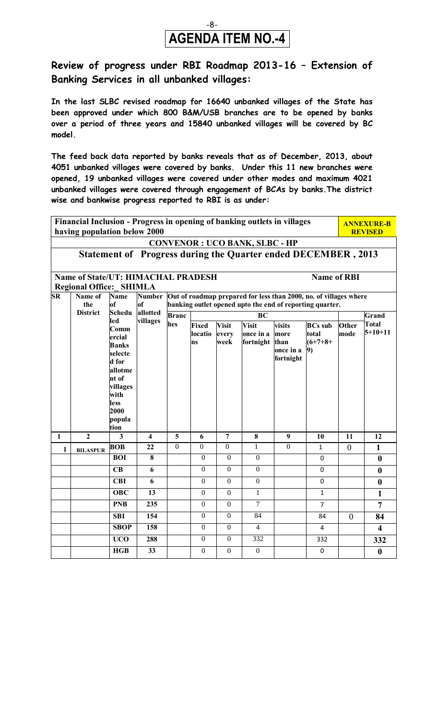### -8- **AGENDA ITEM NO.-4**

### **Review of progress under RBI Roadmap 2013-16 – Extension of Banking Services in all unbanked villages:**

**In the last SLBC revised roadmap for 16640 unbanked villages of the State has been approved under which 800 B&M/USB branches are to be opened by banks over a period of three years and 15840 unbanked villages will be covered by BC model.** 

**The feed back data reported by banks reveals that as of December, 2013, about 4051 unbanked villages were covered by banks. Under this 11 new branches were opened, 19 unbanked villages were covered under other modes and maximum 4021 unbanked villages were covered through engagement of BCAs by banks.The district wise and bankwise progress reported to RBI is as under:**

**Financial Inclusion - Progress in opening of banking outlets in villages having population below 2000 ANNEXURE-B REVISED CONVENOR : UCO BANK, SLBC - HP Statement of Progress during the Quarter ended DECEMBER , 2013 Name of State/UT: HIMACHAL PRADESH Name of RBI Regional Office:\_ SHIMLA SR Name of the District Name of Schedu led Comm ercial Banks selecte d for allotme nt of villages with less 2000 popula tion Number of allotted villages Out of roadmap prepared for less than 2000, no. of villages where banking outlet opened upto the end of reporting quarter. Branc hes BC Grand Total 5+10+11 Fixed locatio ns Visit every week Visit once in a fortnight than visits more once in a fortnight BCs sub total (6+7+8+ 9) Other mode 1 2 3 4 5 6 7 8 9 10 11 12 1 BILASPUR BOB**  $\begin{bmatrix} 22 \\ 0 \end{bmatrix}$  0 0 0 1 0 1 0 1 0 1 **BOI** | **8** | 0 | 0 | 0 | 0 | 0 | 0 | 0 | 0 **CB 6** 0 0 0 0 **0 CBI 6 1 0 0 0 1 0 1 0 1 0 1 0 OBC** | 13 | 0 0 0 1 | 1 | 1 | 1 **PNB** | 235 | 0 0 0 7 | 7 | 7 | 7 **SBI** | 154 | 0 | 0 | 84 | 154 | 84 | 0 | 84 **SBOP** | 158 | 0 0 0 4 | 4 | 4 | 4 **UCO** | 288 | 0 0 0 332 | 332 | 332 **HGB 33** 0 0 0 0 **0**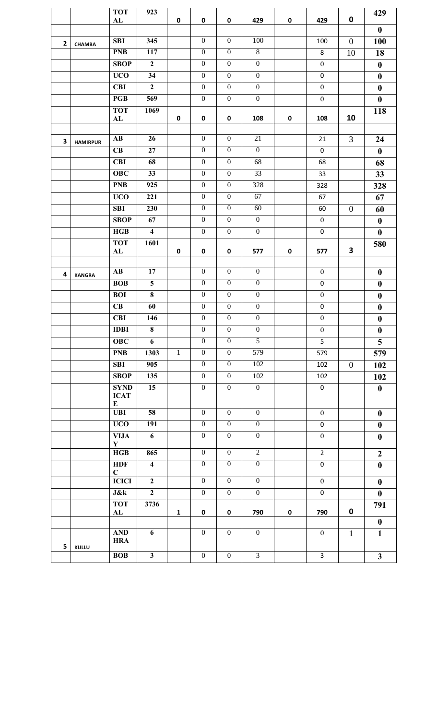|              |                 | <b>TOT</b>                      | 923                     |              |                  |                  |                  |             |                  |                | 429                     |
|--------------|-----------------|---------------------------------|-------------------------|--------------|------------------|------------------|------------------|-------------|------------------|----------------|-------------------------|
|              |                 | ${\bf AL}$                      |                         | $\mathbf 0$  | $\mathbf 0$      | $\pmb{0}$        | 429              | $\mathbf 0$ | 429              | $\mathbf 0$    | $\bf{0}$                |
|              |                 | <b>SBI</b>                      | 345                     |              | $\boldsymbol{0}$ | $\boldsymbol{0}$ | 100              |             | 100              | $\overline{0}$ | 100                     |
| $\mathbf{2}$ | <b>CHAMBA</b>   | <b>PNB</b>                      | 117                     |              | $\boldsymbol{0}$ | $\boldsymbol{0}$ | $8\,$            |             | $\,8\,$          | 10             | 18                      |
|              |                 | <b>SBOP</b>                     | $\overline{2}$          |              | $\overline{0}$   | $\overline{0}$   | $\overline{0}$   |             | $\pmb{0}$        |                | $\boldsymbol{0}$        |
|              |                 | <b>UCO</b>                      | 34                      |              | $\boldsymbol{0}$ | $\boldsymbol{0}$ | $\boldsymbol{0}$ |             | $\pmb{0}$        |                | $\bf{0}$                |
|              |                 | <b>CBI</b>                      | $\overline{2}$          |              | $\boldsymbol{0}$ | $\boldsymbol{0}$ | $\boldsymbol{0}$ |             | $\pmb{0}$        |                | $\boldsymbol{0}$        |
|              |                 | PGB                             | 569                     |              | $\overline{0}$   | $\boldsymbol{0}$ | $\overline{0}$   |             | $\boldsymbol{0}$ |                | $\boldsymbol{0}$        |
|              |                 | <b>TOT</b>                      | 1069                    |              |                  |                  |                  |             |                  |                | 118                     |
|              |                 | AL                              |                         | $\pmb{0}$    | $\pmb{0}$        | $\pmb{0}$        | 108              | $\pmb{0}$   | 108              | 10             |                         |
|              |                 |                                 |                         |              |                  |                  |                  |             |                  |                |                         |
| 3            | <b>HAMIRPUR</b> | $\mathbf{A}\mathbf{B}$          | 26                      |              | $\boldsymbol{0}$ | $\boldsymbol{0}$ | 21               |             | 21               | $\overline{3}$ | 24                      |
|              |                 | CB                              | 27                      |              | $\boldsymbol{0}$ | $\boldsymbol{0}$ | $\mathbf{0}$     |             | $\pmb{0}$        |                | $\bf{0}$                |
|              |                 | <b>CBI</b>                      | 68                      |              | $\overline{0}$   | $\boldsymbol{0}$ | $\overline{68}$  |             | 68               |                | 68                      |
|              |                 | <b>OBC</b>                      | 33                      |              | $\boldsymbol{0}$ | $\boldsymbol{0}$ | 33               |             | 33               |                | 33                      |
|              |                 | <b>PNB</b>                      | 925                     |              | $\boldsymbol{0}$ | $\boldsymbol{0}$ | 328              |             | 328              |                | 328                     |
|              |                 | <b>UCO</b>                      | 221                     |              | $\overline{0}$   | $\boldsymbol{0}$ | 67               |             | 67               |                | 67                      |
|              |                 | <b>SBI</b>                      | 230                     |              | $\mathbf{0}$     | $\boldsymbol{0}$ | 60               |             | 60               | $\overline{0}$ | 60                      |
|              |                 | <b>SBOP</b>                     | 67                      |              | $\boldsymbol{0}$ | $\boldsymbol{0}$ | $\boldsymbol{0}$ |             | $\mathbf 0$      |                | $\boldsymbol{0}$        |
|              |                 | HGB                             | $\overline{\mathbf{4}}$ |              | $\overline{0}$   | $\boldsymbol{0}$ | $\boldsymbol{0}$ |             | $\pmb{0}$        |                | $\bf{0}$                |
|              |                 | <b>TOT</b><br>${\bf AL}$        | 1601                    | $\pmb{0}$    | $\pmb{0}$        | 0                | 577              | $\pmb{0}$   | 577              | 3              | 580                     |
|              |                 |                                 |                         |              |                  |                  |                  |             |                  |                |                         |
| 4            | <b>KANGRA</b>   | $\mathbf{A}\mathbf{B}$          | 17                      |              | $\boldsymbol{0}$ | $\boldsymbol{0}$ | $\boldsymbol{0}$ |             | $\mathbf 0$      |                | $\boldsymbol{0}$        |
|              |                 | <b>BOB</b>                      | $\overline{\mathbf{5}}$ |              | $\boldsymbol{0}$ | $\boldsymbol{0}$ | $\mathbf{0}$     |             | $\boldsymbol{0}$ |                | $\boldsymbol{0}$        |
|              |                 | <b>BOI</b>                      | $\overline{\mathbf{8}}$ |              | $\overline{0}$   | $\boldsymbol{0}$ | $\overline{0}$   |             | $\pmb{0}$        |                | $\boldsymbol{0}$        |
|              |                 | CB                              | 60                      |              | $\boldsymbol{0}$ | $\boldsymbol{0}$ | $\mathbf{0}$     |             | $\pmb{0}$        |                | $\boldsymbol{0}$        |
|              |                 | <b>CBI</b>                      | 146                     |              | $\boldsymbol{0}$ | $\boldsymbol{0}$ | $\boldsymbol{0}$ |             | $\pmb{0}$        |                | $\boldsymbol{0}$        |
|              |                 | <b>IDBI</b>                     | $\overline{\mathbf{8}}$ |              | $\boldsymbol{0}$ | $\overline{0}$   | $\overline{0}$   |             | $\pmb{0}$        |                | $\boldsymbol{0}$        |
|              |                 | <b>OBC</b>                      | $\overline{6}$          |              | $\mathbf{0}$     | $\overline{0}$   | $\overline{5}$   |             | 5                |                | $\overline{\mathbf{5}}$ |
|              |                 | <b>PNB</b>                      | 1303                    | $\mathbf{1}$ | $\boldsymbol{0}$ | $\boldsymbol{0}$ | 579              |             | 579              |                | 579                     |
|              |                 | <b>SBI</b>                      | 905                     |              | $\boldsymbol{0}$ | $\boldsymbol{0}$ | 102              |             | 102              | $\overline{0}$ | 102                     |
|              |                 | <b>SBOP</b>                     | 135                     |              | $\mathbf{0}$     | $\mathbf{0}$     | 102              |             | 102              |                | 102                     |
|              |                 | <b>SYND</b><br><b>ICAT</b><br>E | 15                      |              | $\overline{0}$   | $\boldsymbol{0}$ | $\overline{0}$   |             | $\mathbf 0$      |                | $\boldsymbol{0}$        |
|              |                 | <b>UBI</b>                      | 58                      |              | $\boldsymbol{0}$ | $\boldsymbol{0}$ | $\mathbf{0}$     |             | 0                |                | $\bf{0}$                |
|              |                 | <b>UCO</b>                      | 191                     |              | $\boldsymbol{0}$ | $\boldsymbol{0}$ | $\boldsymbol{0}$ |             | $\pmb{0}$        |                | $\boldsymbol{0}$        |
|              |                 | <b>VIJA</b><br>${\bf Y}$        | $\overline{6}$          |              | $\mathbf{0}$     | $\boldsymbol{0}$ | $\boldsymbol{0}$ |             | $\pmb{0}$        |                | $\boldsymbol{0}$        |
|              |                 | HGB                             | 865                     |              | $\mathbf{0}$     | $\mathbf{0}$     | 2                |             | $\overline{2}$   |                | $\overline{2}$          |
|              |                 | <b>HDF</b><br>$\mathbf C$       | $\overline{\mathbf{4}}$ |              | $\boldsymbol{0}$ | $\boldsymbol{0}$ | $\boldsymbol{0}$ |             | $\pmb{0}$        |                | $\boldsymbol{0}$        |
|              |                 | <b>ICICI</b>                    | $\mathbf{2}$            |              | $\boldsymbol{0}$ | $\boldsymbol{0}$ | $\boldsymbol{0}$ |             | $\pmb{0}$        |                | $\boldsymbol{0}$        |
|              |                 | <b>J&amp;k</b>                  | $\overline{2}$          |              | $\mathbf{0}$     | $\boldsymbol{0}$ | $\mathbf{0}$     |             | $\pmb{0}$        |                | $\boldsymbol{0}$        |
|              |                 | <b>TOT</b>                      | 3736                    |              |                  |                  |                  |             |                  |                | 791                     |
|              |                 | AL                              |                         | $\mathbf{1}$ | $\mathbf 0$      | 0                | 790              | $\pmb{0}$   | 790              | $\mathbf 0$    | $\boldsymbol{0}$        |
|              |                 | <b>AND</b>                      | 6                       |              | $\boldsymbol{0}$ | $\boldsymbol{0}$ | $\boldsymbol{0}$ |             | 0                | $\mathbf{1}$   | $\mathbf{1}$            |
| 5            | KULLU           | <b>HRA</b>                      |                         |              |                  |                  |                  |             |                  |                |                         |
|              |                 | <b>BOB</b>                      | $\mathbf{3}$            |              | $\boldsymbol{0}$ | $\boldsymbol{0}$ | $\overline{3}$   |             | $\overline{3}$   |                | $\mathbf{3}$            |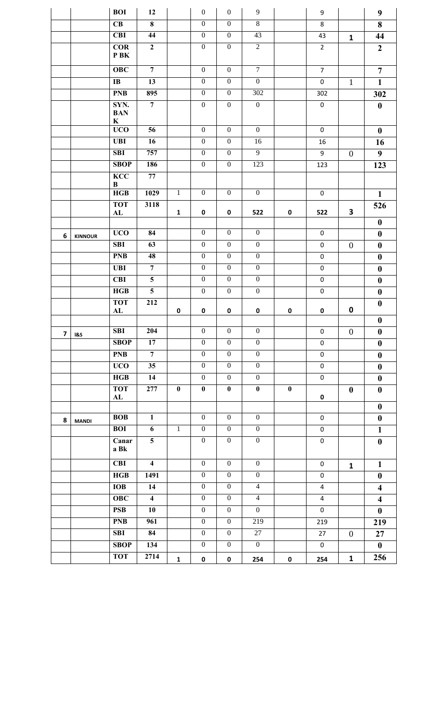|                         |                | <b>BOI</b>                         | 12                      |              | $\mathbf{0}$     | $\boldsymbol{0}$ | 9                |             | 9                       |                  | 9                                    |
|-------------------------|----------------|------------------------------------|-------------------------|--------------|------------------|------------------|------------------|-------------|-------------------------|------------------|--------------------------------------|
|                         |                | $\overline{\text{CB}}$             | $\overline{\mathbf{8}}$ |              | $\overline{0}$   | $\overline{0}$   | $\overline{8}$   |             | 8                       |                  | 8                                    |
|                         |                | <b>CBI</b>                         | 44                      |              | $\boldsymbol{0}$ | $\boldsymbol{0}$ | 43               |             | 43                      | $\mathbf{1}$     | 44                                   |
|                         |                | COR<br>P BK                        | $\mathbf{2}$            |              | $\overline{0}$   | $\boldsymbol{0}$ | $\overline{2}$   |             | $\overline{2}$          |                  | $\boldsymbol{2}$                     |
|                         |                | <b>OBC</b>                         | $\overline{7}$          |              | $\mathbf{0}$     | $\boldsymbol{0}$ | $\overline{7}$   |             | $\overline{7}$          |                  | $\overline{7}$                       |
|                         |                | $\mathbf{I} \mathbf{B}$            | 13                      |              | $\boldsymbol{0}$ | $\boldsymbol{0}$ | $\mathbf{0}$     |             | $\pmb{0}$               | $\mathbf{1}$     | $\mathbf{1}$                         |
|                         |                | <b>PNB</b>                         | 895                     |              | $\overline{0}$   | $\boldsymbol{0}$ | 302              |             | 302                     |                  | 302                                  |
|                         |                | SYN.<br><b>BAN</b><br>$\mathbf{K}$ | $\overline{7}$          |              | $\mathbf{0}$     | $\boldsymbol{0}$ | $\boldsymbol{0}$ |             | $\pmb{0}$               |                  | $\boldsymbol{0}$                     |
|                         |                | <b>UCO</b>                         | 56                      |              | $\mathbf{0}$     | $\boldsymbol{0}$ | $\boldsymbol{0}$ |             | $\pmb{0}$               |                  | $\bf{0}$                             |
|                         |                | <b>UBI</b>                         | 16                      |              | $\boldsymbol{0}$ | $\boldsymbol{0}$ | 16               |             | 16                      |                  | 16                                   |
|                         |                | SBI                                | 757                     |              | $\overline{0}$   | $\mathbf{0}$     | $\overline{9}$   |             | 9                       | $\overline{0}$   | 9                                    |
|                         |                | <b>SBOP</b>                        | 186                     |              | $\boldsymbol{0}$ | $\boldsymbol{0}$ | 123              |             | 123                     |                  | 123                                  |
|                         |                | <b>KCC</b><br>$\bf{B}$             | 77                      |              |                  |                  |                  |             |                         |                  |                                      |
|                         |                | HGB                                | 1029                    | $\mathbf{1}$ | $\boldsymbol{0}$ | $\boldsymbol{0}$ | $\boldsymbol{0}$ |             | $\boldsymbol{0}$        |                  | $\mathbf{1}$                         |
|                         |                | <b>TOT</b><br>AL                   | 3118                    | $\mathbf{1}$ | $\mathbf 0$      | 0                | 522              | 0           | 522                     | 3                | 526                                  |
|                         |                |                                    |                         |              |                  |                  |                  |             |                         |                  | $\boldsymbol{0}$                     |
| 6                       | <b>KINNOUR</b> | <b>UCO</b>                         | 84                      |              | $\overline{0}$   | $\mathbf{0}$     | $\mathbf{0}$     |             | $\pmb{0}$               |                  | $\boldsymbol{0}$                     |
|                         |                | <b>SBI</b>                         | 63                      |              | $\boldsymbol{0}$ | $\boldsymbol{0}$ | $\boldsymbol{0}$ |             | $\pmb{0}$               | $\boldsymbol{0}$ | $\boldsymbol{0}$                     |
|                         |                | <b>PNB</b>                         | 48                      |              | $\overline{0}$   | $\mathbf{0}$     | $\mathbf{0}$     |             | $\pmb{0}$               |                  | $\boldsymbol{0}$                     |
|                         |                | <b>UBI</b>                         | $\overline{7}$          |              | $\mathbf{0}$     | $\mathbf{0}$     | $\mathbf{0}$     |             | $\pmb{0}$               |                  | $\boldsymbol{0}$                     |
|                         |                | <b>CBI</b>                         | $5\overline{)}$         |              | $\mathbf{0}$     | $\boldsymbol{0}$ | $\boldsymbol{0}$ |             | $\pmb{0}$               |                  | $\boldsymbol{0}$                     |
|                         |                | HGB                                | $\overline{5}$          |              | $\mathbf{0}$     | $\boldsymbol{0}$ | $\boldsymbol{0}$ |             | $\pmb{0}$               |                  | $\boldsymbol{0}$                     |
|                         |                | <b>TOT</b><br>${\bf AL}$           | 212                     | $\pmb{0}$    | $\mathbf 0$      | $\pmb{0}$        | $\pmb{0}$        | $\pmb{0}$   | $\pmb{0}$               | 0                | $\boldsymbol{0}$                     |
|                         |                |                                    |                         |              |                  |                  |                  |             |                         |                  | $\boldsymbol{0}$                     |
| $\overline{\mathbf{z}}$ | <b>1&amp;S</b> | <b>SBI</b>                         | 204                     |              | $\boldsymbol{0}$ | $\boldsymbol{0}$ | $\boldsymbol{0}$ |             | $\pmb{0}$               | $\theta$         | $\boldsymbol{0}$                     |
|                         |                | <b>SBOP</b>                        | 17                      |              | $\mathbf{0}$     | $\mathbf{0}$     | $\boldsymbol{0}$ |             | $\mathbf 0$             |                  | $\boldsymbol{0}$                     |
|                         |                | <b>PNB</b>                         | $\overline{7}$          |              | $\overline{0}$   | $\mathbf{0}$     | $\boldsymbol{0}$ |             | $\pmb{0}$               |                  | $\boldsymbol{0}$                     |
|                         |                | <b>UCO</b>                         | 35                      |              | $\overline{0}$   | $\mathbf{0}$     | $\overline{0}$   |             | $\pmb{0}$               |                  | $\boldsymbol{0}$                     |
|                         |                | HGB                                | 14                      |              | $\boldsymbol{0}$ | $\boldsymbol{0}$ | $\boldsymbol{0}$ |             | $\pmb{0}$               |                  | $\boldsymbol{0}$                     |
|                         |                | <b>TOT</b><br>AL                   | 277                     | $\bf{0}$     | $\bf{0}$         | $\bf{0}$         | $\bf{0}$         | $\pmb{0}$   | 0                       | $\boldsymbol{0}$ | $\boldsymbol{0}$<br>$\boldsymbol{0}$ |
|                         |                | <b>BOB</b>                         | $\mathbf{1}$            |              | $\mathbf{0}$     | $\mathbf{0}$     | $\mathbf{0}$     |             | $\pmb{0}$               |                  | $\boldsymbol{0}$                     |
| 8                       | <b>MANDI</b>   | <b>BOI</b>                         | 6                       | $\,1\,$      | $\mathbf{0}$     | $\boldsymbol{0}$ | $\boldsymbol{0}$ |             | $\pmb{0}$               |                  | $\mathbf{1}$                         |
|                         |                | Canar<br>a Bk                      | $\overline{\mathbf{5}}$ |              | $\mathbf{0}$     | $\boldsymbol{0}$ | $\boldsymbol{0}$ |             | $\pmb{0}$               |                  | $\boldsymbol{0}$                     |
|                         |                | <b>CBI</b>                         | $\overline{\mathbf{4}}$ |              | $\mathbf{0}$     | $\boldsymbol{0}$ | $\boldsymbol{0}$ |             | 0                       | $\mathbf{1}$     | $\mathbf{1}$                         |
|                         |                | HGB                                | 1491                    |              | $\overline{0}$   | $\mathbf{0}$     | $\mathbf{0}$     |             | $\pmb{0}$               |                  | $\boldsymbol{0}$                     |
|                         |                | <b>IOB</b>                         | 14                      |              | $\mathbf{0}$     | $\mathbf{0}$     | $\overline{4}$   |             | $\overline{\mathbf{4}}$ |                  | $\overline{\mathbf{4}}$              |
|                         |                | OBC                                | $\overline{\mathbf{4}}$ |              | $\mathbf{0}$     | $\boldsymbol{0}$ | $\overline{4}$   |             | $\overline{4}$          |                  | $\overline{\mathbf{4}}$              |
|                         |                | <b>PSB</b>                         | 10                      |              | $\mathbf{0}$     | $\boldsymbol{0}$ | $\mathbf{0}$     |             | $\pmb{0}$               |                  | $\boldsymbol{0}$                     |
|                         |                | <b>PNB</b>                         | $\overline{961}$        |              | $\overline{0}$   | $\mathbf{0}$     | 219              |             | 219                     |                  | 219                                  |
|                         |                | <b>SBI</b>                         | 84                      |              | $\boldsymbol{0}$ | $\boldsymbol{0}$ | 27               |             | 27                      | $\overline{0}$   | 27                                   |
|                         |                | <b>SBOP</b>                        | 134                     |              | $\mathbf{0}$     | $\boldsymbol{0}$ | $\boldsymbol{0}$ |             | $\boldsymbol{0}$        |                  | $\mathbf{0}$                         |
|                         |                | <b>TOT</b>                         | 2714                    | $\mathbf 1$  | $\pmb{0}$        | $\pmb{0}$        | 254              | $\mathbf 0$ | 254                     | $\mathbf{1}$     | 256                                  |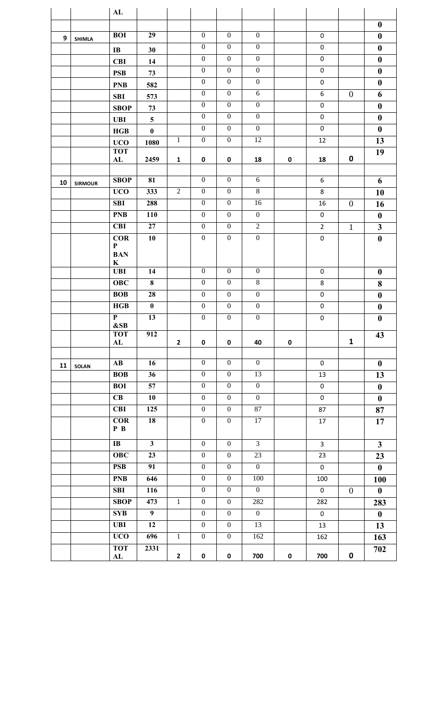|    |                | ${\bf AL}$                |                 |                |                                  |                                      |                                      |             |                |                |                  |
|----|----------------|---------------------------|-----------------|----------------|----------------------------------|--------------------------------------|--------------------------------------|-------------|----------------|----------------|------------------|
|    |                |                           |                 |                |                                  |                                      |                                      |             |                |                | $\boldsymbol{0}$ |
| 9  | <b>SHIMLA</b>  | <b>BOI</b>                | 29              |                | $\mathbf{0}$                     | $\overline{0}$                       | $\overline{0}$                       |             | 0              |                | $\boldsymbol{0}$ |
|    |                | $\mathbf{I} \mathbf{B}$   | 30              |                | $\mathbf{0}$                     | $\mathbf{0}$                         | $\mathbf{0}$                         |             | $\pmb{0}$      |                | $\boldsymbol{0}$ |
|    |                | <b>CBI</b>                | 14              |                | $\overline{0}$                   | $\mathbf{0}$                         | $\mathbf{0}$                         |             | $\mathbf 0$    |                | $\boldsymbol{0}$ |
|    |                | <b>PSB</b>                | 73              |                | $\boldsymbol{0}$                 | $\mathbf{0}$                         | $\boldsymbol{0}$                     |             | 0              |                | $\boldsymbol{0}$ |
|    |                | <b>PNB</b>                | 582             |                | $\boldsymbol{0}$                 | $\boldsymbol{0}$                     | $\boldsymbol{0}$                     |             | 0              |                | $\boldsymbol{0}$ |
|    |                | <b>SBI</b>                | 573             |                | $\mathbf{0}$                     | $\mathbf{0}$                         | 6                                    |             | 6              | $\mathbf{0}$   | 6                |
|    |                | <b>SBOP</b>               | 73              |                | $\mathbf{0}$                     | $\mathbf{0}$                         | $\mathbf{0}$                         |             | $\pmb{0}$      |                | $\boldsymbol{0}$ |
|    |                | <b>UBI</b>                | $5\phantom{.0}$ |                | $\mathbf{0}$                     | $\boldsymbol{0}$                     | $\overline{0}$                       |             | $\pmb{0}$      |                | $\boldsymbol{0}$ |
|    |                | HGB                       | $\bf{0}$        |                | $\mathbf{0}$                     | $\mathbf{0}$                         | $\mathbf{0}$                         |             | $\mathbf 0$    |                | $\bf{0}$         |
|    |                | <b>UCO</b>                | 1080            | $\mathbf{1}$   | $\overline{0}$                   | $\boldsymbol{0}$                     | $\overline{12}$                      |             | 12             |                | 13               |
|    |                | <b>TOT</b><br>${\bf AL}$  | 2459            | $\mathbf{1}$   | 0                                | 0                                    | 18                                   | 0           | 18             | 0              | 19               |
|    |                |                           |                 |                |                                  |                                      |                                      |             |                |                |                  |
| 10 | <b>SIRMOUR</b> | <b>SBOP</b>               | 81              |                | $\mathbf{0}$                     | $\boldsymbol{0}$                     | 6                                    |             | 6              |                | 6                |
|    |                | <b>UCO</b>                | 333             | $\overline{2}$ | $\mathbf{0}$                     | $\mathbf{0}$                         | $\overline{8}$                       |             | 8              |                | 10               |
|    |                | <b>SBI</b>                | 288             |                | $\boldsymbol{0}$                 | $\boldsymbol{0}$                     | 16                                   |             | 16             | $\overline{0}$ | 16               |
|    |                | <b>PNB</b>                | 110             |                | $\mathbf{0}$                     | $\boldsymbol{0}$                     | $\boldsymbol{0}$                     |             | 0              |                | $\boldsymbol{0}$ |
|    |                | <b>CBI</b>                | 27              |                | $\mathbf{0}$                     | $\boldsymbol{0}$                     | $\overline{2}$                       |             | $\overline{2}$ | $\mathbf{1}$   | 3                |
|    |                | <b>COR</b>                | 10              |                | $\mathbf{0}$                     | $\boldsymbol{0}$                     | $\boldsymbol{0}$                     |             | $\pmb{0}$      |                | $\boldsymbol{0}$ |
|    |                | $\mathbf P$<br><b>BAN</b> |                 |                |                                  |                                      |                                      |             |                |                |                  |
|    |                | K                         |                 |                |                                  |                                      |                                      |             |                |                |                  |
|    |                | <b>UBI</b>                | 14              |                | $\boldsymbol{0}$                 | $\boldsymbol{0}$                     | $\boldsymbol{0}$                     |             | 0              |                | $\boldsymbol{0}$ |
|    |                | <b>OBC</b>                | 8               |                | $\mathbf{0}$                     | $\mathbf{0}$                         | $\overline{8}$                       |             | 8              |                | 8                |
|    |                | <b>BOB</b>                | 28              |                | $\mathbf{0}$                     | $\mathbf{0}$                         | $\mathbf{0}$                         |             | 0              |                | $\boldsymbol{0}$ |
|    |                | HGB<br>${\bf P}$          | $\bf{0}$<br>13  |                | $\boldsymbol{0}$<br>$\mathbf{0}$ | $\boldsymbol{0}$<br>$\boldsymbol{0}$ | $\boldsymbol{0}$<br>$\boldsymbol{0}$ |             | 0              |                | $\boldsymbol{0}$ |
|    |                | &SB                       |                 |                |                                  |                                      |                                      |             | $\mathbf 0$    |                | $\boldsymbol{0}$ |
|    |                | <b>TOT</b>                | 912             |                | $\mathbf 0$                      |                                      |                                      | $\mathbf 0$ |                | $\mathbf{1}$   | 43               |
|    |                | AL                        |                 | $\mathbf{2}$   |                                  | 0                                    | 40                                   |             |                |                |                  |
| 11 | <b>SOLAN</b>   | $\mathbf{A}\mathbf{B}$    | 16              |                | $\overline{0}$                   | $\mathbf{0}$                         | $\overline{0}$                       |             | $\mathbf 0$    |                | $\boldsymbol{0}$ |
|    |                | <b>BOB</b>                | 36              |                | $\boldsymbol{0}$                 | $\boldsymbol{0}$                     | 13                                   |             | 13             |                | 13               |
|    |                | <b>BOI</b>                | $\overline{57}$ |                | $\mathbf{0}$                     | $\boldsymbol{0}$                     | $\mathbf{0}$                         |             | $\pmb{0}$      |                | $\boldsymbol{0}$ |
|    |                | CB                        | 10              |                | $\overline{0}$                   | $\overline{0}$                       | $\overline{0}$                       |             | $\mathbf 0$    |                | $\boldsymbol{0}$ |
|    |                | <b>CBI</b>                | 125             |                | $\mathbf{0}$                     | $\mathbf{0}$                         | 87                                   |             | 87             |                | 87               |
|    |                | <b>COR</b><br>P B         | 18              |                | $\boldsymbol{0}$                 | $\boldsymbol{0}$                     | 17                                   |             | 17             |                | 17               |
|    |                | $\mathbf{I}$              | $\mathbf{3}$    |                | $\mathbf{0}$                     | $\mathbf{0}$                         | $\overline{3}$                       |             | $\mathbf{3}$   |                | $\mathbf{3}$     |
|    |                | <b>OBC</b>                | 23              |                | $\mathbf{0}$                     | $\boldsymbol{0}$                     | 23                                   |             | 23             |                | 23               |
|    |                | <b>PSB</b>                | 91              |                | $\overline{0}$                   | $\mathbf{0}$                         | $\overline{0}$                       |             | $\mathbf 0$    |                | $\bf{0}$         |
|    |                | <b>PNB</b>                | 646             |                | $\overline{0}$                   | $\boldsymbol{0}$                     | 100                                  |             | 100            |                | 100              |
|    |                | <b>SBI</b>                | 116             |                | $\boldsymbol{0}$                 | $\boldsymbol{0}$                     | $\mathbf{0}$                         |             | 0              | $\overline{0}$ | $\bf{0}$         |
|    |                | <b>SBOP</b>               | 473             | $\mathbf{1}$   | $\mathbf{0}$                     | $\boldsymbol{0}$                     | 282                                  |             | 282            |                | 283              |
|    |                | <b>SYB</b>                | $\overline{9}$  |                | $\overline{0}$                   | $\mathbf{0}$                         | $\overline{0}$                       |             | $\mathbf 0$    |                | $\bf{0}$         |
|    |                | <b>UBI</b>                | 12              |                | $\mathbf{0}$                     | $\boldsymbol{0}$                     | 13                                   |             | 13             |                | 13               |
|    |                | <b>UCO</b>                | 696             | $\mathbf{1}$   | $\mathbf{0}$                     | $\boldsymbol{0}$                     | 162                                  |             | 162            |                | 163              |
|    |                | <b>TOT</b>                | 2331            | $\mathbf{2}$   | $\pmb{0}$                        | $\pmb{0}$                            | 700                                  | $\pmb{0}$   | 700            | $\pmb{0}$      | 702              |
|    |                | AL                        |                 |                |                                  |                                      |                                      |             |                |                |                  |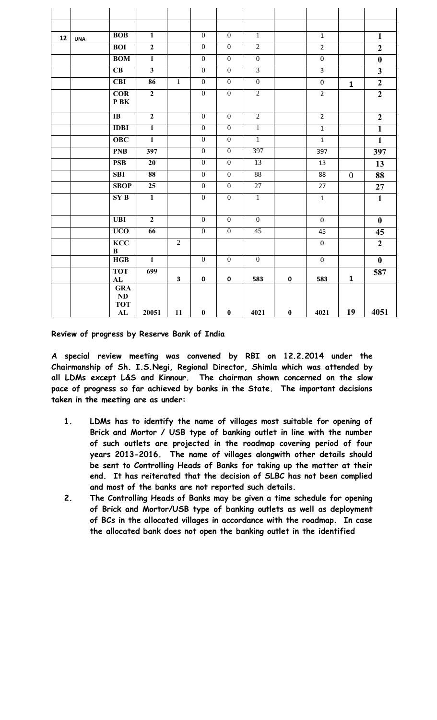| 12 | <b>UNA</b> | <b>BOB</b>                           | $\mathbf{1}$            |                | $\mathbf{0}$     | $\mathbf{0}$     | $\mathbf{1}$    |           | $\mathbf{1}$   |              | $\mathbf{1}$     |
|----|------------|--------------------------------------|-------------------------|----------------|------------------|------------------|-----------------|-----------|----------------|--------------|------------------|
|    |            | <b>BOI</b>                           | $\boldsymbol{2}$        |                | $\boldsymbol{0}$ | $\boldsymbol{0}$ | $\overline{2}$  |           | $\overline{2}$ |              | $\overline{2}$   |
|    |            | <b>BOM</b>                           | $\overline{1}$          |                | $\overline{0}$   | $\overline{0}$   | $\overline{0}$  |           | $\pmb{0}$      |              | $\boldsymbol{0}$ |
|    |            | CB                                   | $\overline{\mathbf{3}}$ |                | $\boldsymbol{0}$ | $\mathbf{0}$     | $\overline{3}$  |           | $\overline{3}$ |              | $\mathbf{3}$     |
|    |            | <b>CBI</b>                           | 86                      | $\overline{1}$ | $\overline{0}$   | $\mathbf{0}$     | $\overline{0}$  |           | $\pmb{0}$      | $\mathbf{1}$ | $\boldsymbol{2}$ |
|    |            | COR<br>P BK                          | $\overline{2}$          |                | $\boldsymbol{0}$ | $\boldsymbol{0}$ | $\overline{2}$  |           | $\overline{2}$ |              | $\overline{2}$   |
|    |            | $\overline{IB}$                      | $\overline{2}$          |                | $\overline{0}$   | $\overline{0}$   | $\overline{2}$  |           | $\overline{2}$ |              | $\overline{2}$   |
|    |            | <b>IDBI</b>                          | $\overline{1}$          |                | $\overline{0}$   | $\mathbf{0}$     | $\overline{1}$  |           | $\mathbf{1}$   |              | $\mathbf{1}$     |
|    |            | $\overline{O}$ BC                    | $\overline{1}$          |                | $\overline{0}$   | $\overline{0}$   | $\overline{1}$  |           | $\mathbf{1}$   |              | $\mathbf{1}$     |
|    |            | <b>PNB</b>                           | 397                     |                | $\boldsymbol{0}$ | $\boldsymbol{0}$ | 397             |           | 397            |              | 397              |
|    |            | <b>PSB</b>                           | 20                      |                | $\mathbf{0}$     | $\mathbf{0}$     | 13              |           | 13             |              | 13               |
|    |            | $\overline{\text{SBI}}$              | 88                      |                | $\overline{0}$   | $\overline{0}$   | $\overline{88}$ |           | 88             | $\theta$     | 88               |
|    |            | <b>SBOP</b>                          | 25                      |                | $\mathbf{0}$     | $\boldsymbol{0}$ | 27              |           | 27             |              | 27               |
|    |            | SY B                                 | $\overline{1}$          |                | $\overline{0}$   | $\boldsymbol{0}$ | $\overline{1}$  |           | $\mathbf{1}$   |              | $\mathbf{1}$     |
|    |            | <b>UBI</b>                           | $\overline{2}$          |                | $\boldsymbol{0}$ | $\boldsymbol{0}$ | $\mathbf{0}$    |           | $\mathbf 0$    |              | $\bf{0}$         |
|    |            | <b>UCO</b>                           | 66                      |                | $\mathbf{0}$     | $\boldsymbol{0}$ | 45              |           | 45             |              | 45               |
|    |            | <b>KCC</b><br>$\, {\bf B}$           |                         | $\overline{2}$ |                  |                  |                 |           | $\mathbf 0$    |              | $\overline{2}$   |
|    |            | HGB                                  | $\overline{1}$          |                | $\overline{0}$   | $\mathbf{0}$     | $\mathbf{0}$    |           | $\mathbf 0$    |              | $\boldsymbol{0}$ |
|    |            | <b>TOT</b><br>${\bf AL}$             | 699                     | 3              | $\mathbf 0$      | 0                | 583             | $\pmb{0}$ | 583            | $\mathbf{1}$ | 587              |
|    |            | <b>GRA</b><br>$\bf ND$<br><b>TOT</b> |                         |                |                  |                  |                 |           |                |              |                  |
|    |            | ${\bf AL}$                           | 20051                   | 11             | $\bf{0}$         | $\pmb{0}$        | 4021            | $\bf{0}$  | 4021           | 19           | 4051             |

**Review of progress by Reserve Bank of India** 

**A special review meeting was convened by RBI on 12.2.2014 under the Chairmanship of Sh. I.S.Negi, Regional Director, Shimla which was attended by all LDMs except L&S and Kinnour. The chairman shown concerned on the slow pace of progress so far achieved by banks in the State. The important decisions taken in the meeting are as under:**

- **1. LDMs has to identify the name of villages most suitable for opening of Brick and Mortor / USB type of banking outlet in line with the number of such outlets are projected in the roadmap covering period of four years 2013-2016. The name of villages alongwith other details should be sent to Controlling Heads of Banks for taking up the matter at their end. It has reiterated that the decision of SLBC has not been complied and most of the banks are not reported such details.**
- **2. The Controlling Heads of Banks may be given a time schedule for opening of Brick and Mortor/USB type of banking outlets as well as deployment of BCs in the allocated villages in accordance with the roadmap. In case the allocated bank does not open the banking outlet in the identified**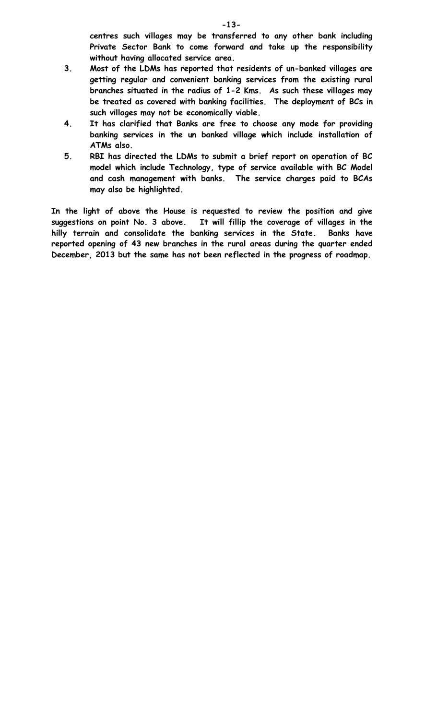**centres such villages may be transferred to any other bank including Private Sector Bank to come forward and take up the responsibility without having allocated service area.** 

- **3. Most of the LDMs has reported that residents of un-banked villages are getting regular and convenient banking services from the existing rural branches situated in the radius of 1-2 Kms. As such these villages may be treated as covered with banking facilities. The deployment of BCs in such villages may not be economically viable.**
- **4. It has clarified that Banks are free to choose any mode for providing banking services in the un banked village which include installation of ATMs also.**
- **5. RBI has directed the LDMs to submit a brief report on operation of BC model which include Technology, type of service available with BC Model and cash management with banks. The service charges paid to BCAs may also be highlighted.**

**In the light of above the House is requested to review the position and give suggestions on point No. 3 above. It will fillip the coverage of villages in the hilly terrain and consolidate the banking services in the State. Banks have reported opening of 43 new branches in the rural areas during the quarter ended December, 2013 but the same has not been reflected in the progress of roadmap.**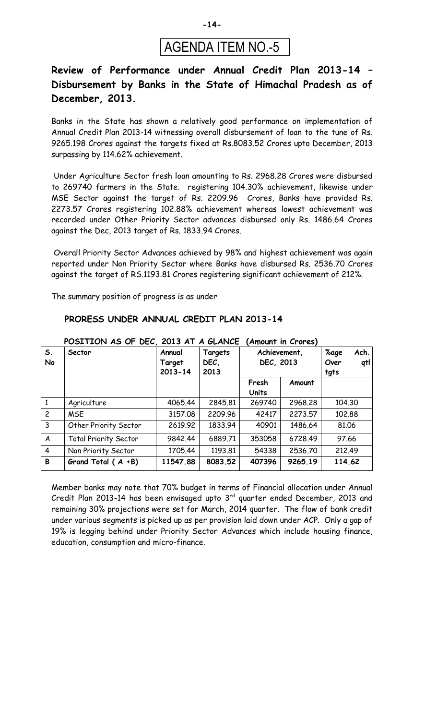

### **Review of Performance under Annual Credit Plan 2013-14 – Disbursement by Banks in the State of Himachal Pradesh as of December, 2013.**

Banks in the State has shown a relatively good performance on implementation of Annual Credit Plan 2013-14 witnessing overall disbursement of loan to the tune of Rs. 9265.198 Crores against the targets fixed at Rs.8083.52 Crores upto December, 2013 surpassing by 114.62% achievement.

Under Agriculture Sector fresh loan amounting to Rs. 2968.28 Crores were disbursed to 269740 farmers in the State. registering 104.30% achievement, likewise under MSE Sector against the target of Rs. 2209.96 Crores, Banks have provided Rs. 2273.57 Crores registering 102.88% achievement whereas lowest achievement was recorded under Other Priority Sector advances disbursed only Rs. 1486.64 Crores against the Dec, 2013 target of Rs. 1833.94 Crores.

Overall Priority Sector Advances achieved by 98% and highest achievement was again reported under Non Priority Sector where Banks have disbursed Rs. 2536.70 Crores against the target of RS.1193.81 Crores registering significant achievement of 212%.

The summary position of progress is as under

education, consumption and micro-finance.

#### **POSITION AS OF DEC, 2013 AT A GLANCE (Amount in Crores) S. No Sector Annual Target 2013-14 Targets DEC, 2013 Achievement, DEC, 2013 %age Ach. Over qtl tgts Fresh Units Amount** 1 Agriculture 4065.44 2845.81 269740 2968.28 104.30 2 | MSE | 3157.08 | 2209.96 | 42417 | 2273.57 | 102.88 3 | Other Priority Sector | 2619.92 | 1833.94 | 40901 | 1486.64 | 81.06 A | Total Priority Sector | 9842.44 | 6889.71 | 353058 | 6728.49 | 97.66 4 | Non Priority Sector | 1705.44 | 1193.81 | 54338 | 2536.70 | 212.49 **B Grand Total ( A +B) 11547.88 8083.52 407396 9265.19 114.62**

#### **PRORESS UNDER ANNUAL CREDIT PLAN 2013-14**

Member banks may note that 70% budget in terms of Financial allocation under Annual Credit Plan 2013-14 has been envisaged upto  $3<sup>rd</sup>$  quarter ended December, 2013 and remaining 30% projections were set for March, 2014 quarter. The flow of bank credit under various segments is picked up as per provision laid down under ACP. Only a gap of 19% is legging behind under Priority Sector Advances which include housing finance,

**-14-**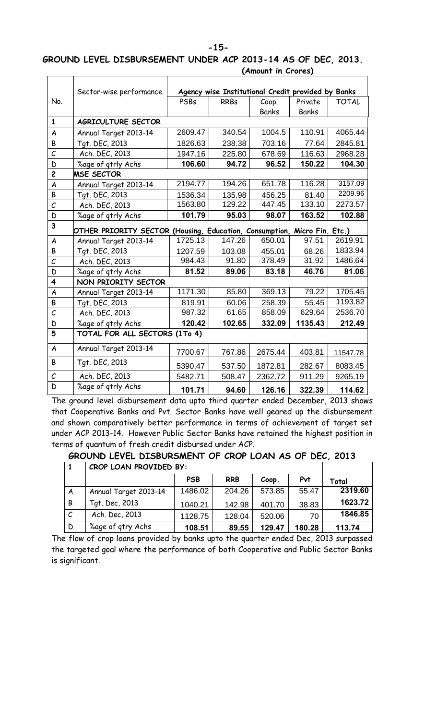#### **-15-**

## **GROUND LEVEL DISBURSEMENT UNDER ACP 2013-14 AS OF DEC, 2013.**

|                         | Sector-wise performance                                                  |         | Agency wise Institutional Credit provided by Banks |         |              |              |
|-------------------------|--------------------------------------------------------------------------|---------|----------------------------------------------------|---------|--------------|--------------|
| No.                     |                                                                          | PSBs    | <b>RRBs</b>                                        | Coop.   | Private      | <b>TOTAL</b> |
|                         |                                                                          |         |                                                    | Banks   | <b>Banks</b> |              |
| $\mathbf{1}$            | AGRICULTURE SECTOR                                                       |         |                                                    |         |              |              |
| $\boldsymbol{A}$        | Annual Target 2013-14                                                    | 2609.47 | 340.54                                             | 1004.5  | 110.91       | 4065.44      |
| B                       | Tqt. DEC, 2013                                                           | 1826.63 | 238.38                                             | 703.16  | 77.64        | 2845.81      |
| $\mathcal{C}_{0}$       | Ach. DEC, 2013                                                           | 1947.16 | 225.80                                             | 678.69  | 116.63       | 2968.28      |
| D                       | %age of qtrly Achs                                                       | 106.60  | 94.72                                              | 96.52   | 150.22       | 104.30       |
| $\overline{c}$          | <b>MSE SECTOR</b>                                                        |         |                                                    |         |              |              |
| A                       | Annual Target 2013-14                                                    | 2194.77 | 194.26                                             | 651.78  | 116.28       | 3157.09      |
| B                       | Tgt. DEC, 2013                                                           | 1536.34 | 135.98                                             | 456.25  | 81.40        | 2209.96      |
| $\mathcal{C}_{0}^{(1)}$ | Ach. DEC, 2013                                                           | 1563.80 | 129.22                                             | 447.45  | 133.10       | 2273.57      |
| D                       | %age of qtrly Achs                                                       | 101.79  | 95.03                                              | 98.07   | 163.52       | 102.88       |
| 3                       | OTHER PRIORITY SECTOR (Housing, Education, Consumption, Micro Fin. Etc.) |         |                                                    |         |              |              |
| A                       | Annual Target 2013-14                                                    | 1725.13 | 147.26                                             | 650.01  | 97.51        | 2619.91      |
| B                       | Tqt. DEC, 2013                                                           | 1207.59 | 103.08                                             | 455.01  | 68.26        | 1833.94      |
| $\mathcal{C}_{0}$       | Ach. DEC, 2013                                                           | 984.43  | 91.80                                              | 378.49  | 31.92        | 1486.64      |
| D                       | %age of gtrly Achs                                                       | 81.52   | 89.06                                              | 83.18   | 46.76        | 81.06        |
| 4                       | NON PRIORITY SECTOR                                                      |         |                                                    |         |              |              |
| A                       | Annual Target 2013-14                                                    | 1171.30 | 85.80                                              | 369.13  | 79.22        | 1705.45      |
| B                       | Tqt. DEC, 2013                                                           | 819.91  | 60.06                                              | 258.39  | 55.45        | 1193.82      |
| C                       | Ach. DEC, 2013                                                           | 987.32  | 61.65                                              | 858.09  | 629.64       | 2536.70      |
| D                       | %age of qtrly Achs                                                       | 120.42  | 102.65                                             | 332.09  | 1135.43      | 212.49       |
| 5                       | TOTAL FOR ALL SECTORS (1To 4)                                            |         |                                                    |         |              |              |
| $\boldsymbol{A}$        | Annual Target 2013-14                                                    | 7700.67 | 767.86                                             | 2675.44 | 403.81       | 11547.78     |
| B                       | Tgt. DEC, 2013                                                           | 5390.47 | 537.50                                             | 1872.81 | 282.67       | 8083.45      |
| $\mathcal{C}_{0}$       | Ach. DEC, 2013                                                           | 5482.71 | 508.47                                             | 2362.72 | 911.29       | 9265.19      |
| D                       | %age of gtrly Achs                                                       | 101.71  | 94.60                                              | 126.16  | 322.39       | 114.62       |

The ground level disbursement data upto third quarter ended December, 2013 shows that Cooperative Banks and Pvt. Sector Banks have well geared up the disbursement and shown comparatively better performance in terms of achievement of target set under ACP 2013-14. However Public Sector Banks have retained the highest position in terms of quantum of fresh credit disbursed under ACP.

**GROUND LEVEL DISBURSMENT OF CROP LOAN AS OF DEC, 2013**

|              | CROP LOAN PROVIDED BY: |            |            |        |            |         |
|--------------|------------------------|------------|------------|--------|------------|---------|
|              |                        | <b>PSB</b> | <b>RRB</b> | Coop.  | <b>Pvt</b> | Total   |
| A            | Annual Target 2013-14  | 1486.02    | 204.26     | 573.85 | 55.47      | 2319.60 |
| B            | Tgt. Dec, 2013         | 1040.21    | 142.98     | 401.70 | 38.83      | 1623.72 |
| C            | Ach. Dec, 2013         | 1128.75    | 128.04     | 520.06 | 70         | 1846.85 |
| $\mathsf{D}$ | %age of qtry Achs      | 108.51     | 89.55      | 129.47 | 180.28     | 113.74  |

The flow of crop loans provided by banks upto the quarter ended Dec, 2013 surpassed the targeted goal where the performance of both Cooperative and Public Sector Banks is significant.

#### **(Amount in Crores)**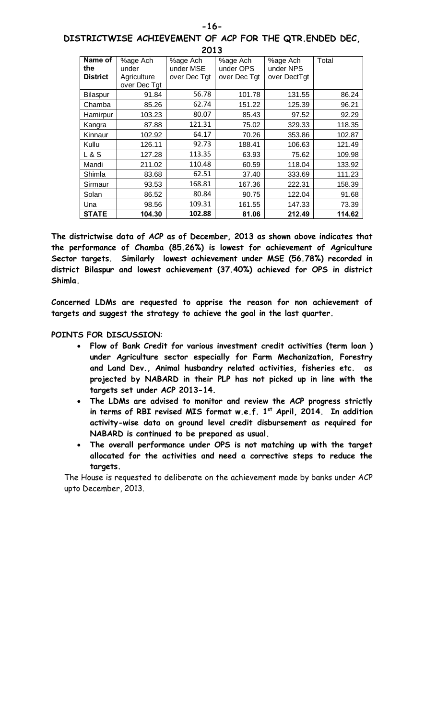| DISTRICTWISE ACHIEVEMENT OF ACP FOR THE QTR.ENDED DEC, |      |  |  |  |
|--------------------------------------------------------|------|--|--|--|
|                                                        | 2013 |  |  |  |

| Name of         | %age Ach     | %age Ach     | %age Ach     | %age Ach     | Total  |
|-----------------|--------------|--------------|--------------|--------------|--------|
| the             | under        | under MSE    | under OPS    | under NPS    |        |
| <b>District</b> | Agriculture  | over Dec Tgt | over Dec Tgt | over DectTgt |        |
|                 | over Dec Tgt |              |              |              |        |
| Bilaspur        | 91.84        | 56.78        | 101.78       | 131.55       | 86.24  |
| Chamba          | 85.26        | 62.74        | 151.22       | 125.39       | 96.21  |
| Hamirpur        | 103.23       | 80.07        | 85.43        | 97.52        | 92.29  |
| Kangra          | 87.88        | 121.31       | 75.02        | 329.33       | 118.35 |
| Kinnaur         | 102.92       | 64.17        | 70.26        | 353.86       | 102.87 |
| Kullu           | 126.11       | 92.73        | 188.41       | 106.63       | 121.49 |
| L & S           | 127.28       | 113.35       | 63.93        | 75.62        | 109.98 |
| Mandi           | 211.02       | 110.48       | 60.59        | 118.04       | 133.92 |
| Shimla          | 83.68        | 62.51        | 37.40        | 333.69       | 111.23 |
| Sirmaur         | 93.53        | 168.81       | 167.36       | 222.31       | 158.39 |
| Solan           | 86.52        | 80.84        | 90.75        | 122.04       | 91.68  |
| Una             | 98.56        | 109.31       | 161.55       | 147.33       | 73.39  |
| <b>STATE</b>    | 104.30       | 102.88       | 81.06        | 212.49       | 114.62 |

**The districtwise data of ACP as of December, 2013 as shown above indicates that the performance of Chamba (85.26%) is lowest for achievement of Agriculture Sector targets. Similarly lowest achievement under MSE (56.78%) recorded in district Bilaspur and lowest achievement (37.40%) achieved for OPS in district Shimla.** 

**Concerned LDMs are requested to apprise the reason for non achievement of targets and suggest the strategy to achieve the goal in the last quarter.**

#### **POINTS FOR DISCUSSION**:

- · **Flow of Bank Credit for various investment credit activities (term loan ) under Agriculture sector especially for Farm Mechanization, Forestry and Land Dev., Animal husbandry related activities, fisheries etc. as projected by NABARD in their PLP has not picked up in line with the targets set under ACP 2013-14.**
- · **The LDMs are advised to monitor and review the ACP progress strictly**  in terms of RBI revised MIS format w.e.f. 1<sup>st</sup> April, 2014. In addition **activity-wise data on ground level credit disbursement as required for NABARD is continued to be prepared as usual.**
- · **The overall performance under OPS is not matching up with the target allocated for the activities and need a corrective steps to reduce the targets.**

The House is requested to deliberate on the achievement made by banks under ACP upto December, 2013.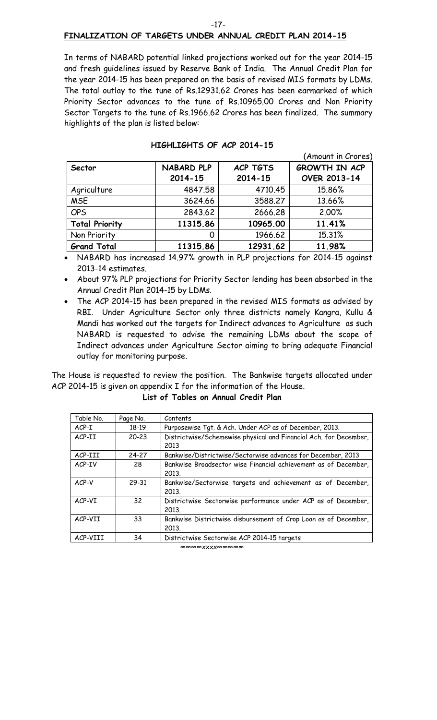#### -17-

#### **FINALIZATION OF TARGETS UNDER ANNUAL CREDIT PLAN 2014-15**

In terms of NABARD potential linked projections worked out for the year 2014-15 and fresh guidelines issued by Reserve Bank of India. The Annual Credit Plan for the year 2014-15 has been prepared on the basis of revised MIS formats by LDMs. The total outlay to the tune of Rs.12931.62 Crores has been earmarked of which Priority Sector advances to the tune of Rs.10965.00 Crores and Non Priority Sector Targets to the tune of Rs.1966.62 Crores has been finalized. The summary highlights of the plan is listed below:

|                       |                   |                 | (Amount in Crores)   |
|-----------------------|-------------------|-----------------|----------------------|
| Sector                | <b>NABARD PLP</b> | <b>ACP TGTS</b> | <b>GROWTH IN ACP</b> |
|                       | $2014 - 15$       | 2014-15         | <b>OVER 2013-14</b>  |
| Agriculture           | 4847.58           | 4710.45         | 15.86%               |
| <b>MSE</b>            | 3624.66           | 3588.27         | 13.66%               |
| <b>OPS</b>            | 2843.62           | 2666.28         | 2.00%                |
| <b>Total Priority</b> | 11315.86          | 10965.00        | 11.41%               |
| Non Priority          |                   | 1966.62         | 15.31%               |
| <b>Grand Total</b>    | 11315.86          | 12931.62        | 11.98%               |

#### **HIGHLIGHTS OF ACP 2014-15**

NABARD has increased 14.97% growth in PLP projections for 2014-15 against 2013-14 estimates.

- · About 97% PLP projections for Priority Sector lending has been absorbed in the Annual Credit Plan 2014-15 by LDMs.
- · The ACP 2014-15 has been prepared in the revised MIS formats as advised by RBI. Under Agriculture Sector only three districts namely Kangra, Kullu & Mandi has worked out the targets for Indirect advances to Agriculture as such NABARD is requested to advise the remaining LDMs about the scope of Indirect advances under Agriculture Sector aiming to bring adequate Financial outlay for monitoring purpose.

The House is requested to review the position. The Bankwise targets allocated under ACP 2014-15 is given on appendix I for the information of the House.

**List of Tables on Annual Credit Plan**

| Table No. | Page No.  | Contents                                                                  |
|-----------|-----------|---------------------------------------------------------------------------|
| $ACP-I$   | 18-19     | Purposewise Tgt. & Ach. Under ACP as of December, 2013.                   |
| ACP-II    | $20 - 23$ | Districtwise/Schemewise physical and Financial Ach. for December,<br>2013 |
| ACP-III   | 24-27     | Bankwise/Districtwise/Sectorwise advances for December, 2013              |
| ACP-IV    | 28        | Bankwise Broadsector wise Financial achievement as of December,<br>2013.  |
| ACP-V     | 29-31     | Bankwise/Sectorwise targets and achievement as of December,<br>2013.      |
| ACP-VI    | 32        | Districtwise Sectorwise performance under ACP as of December,<br>2013.    |
| ACP-VII   | 33        | Bankwise Districtwise disbursement of Crop Loan as of December,<br>2013.  |
| ACP-VIII  | 34        | Districtwise Sectorwise ACP 2014-15 targets                               |

∞∞∞∞xxxx∞∞∞∞∞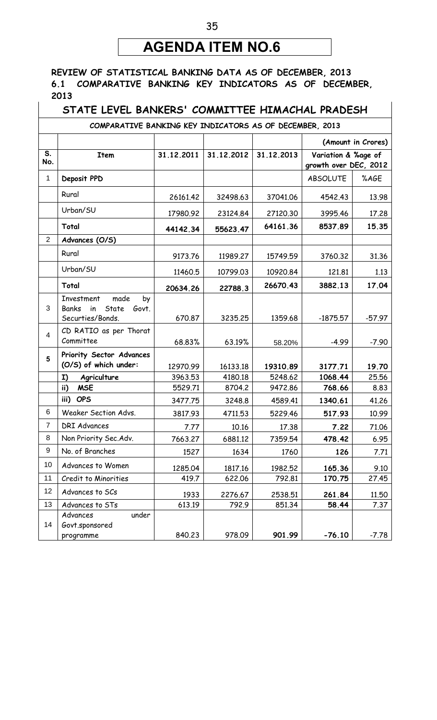## **AGENDA ITEM NO.6**

#### **REVIEW OF STATISTICAL BANKING DATA AS OF DECEMBER, 2013 6.1 COMPARATIVE BANKING KEY INDICATORS AS OF DECEMBER, 2013**

## **STATE LEVEL BANKERS' COMMITTEE HIMACHAL PRADESH**

**COMPARATIVE BANKING KEY INDICATORS AS OF DECEMBER, 2013**

|                                  |                                                                                      |            |            |            | (Amount in Crores)                           |          |
|----------------------------------|--------------------------------------------------------------------------------------|------------|------------|------------|----------------------------------------------|----------|
| $\overline{\mathsf{s}}$ .<br>No. | <b>Item</b>                                                                          | 31.12.2011 | 31.12.2012 | 31.12.2013 | Variation & %age of<br>growth over DEC, 2012 |          |
| 1                                | Deposit PPD                                                                          |            |            |            | <b>ABSOLUTE</b>                              | %AGE     |
|                                  | Rural                                                                                | 26161.42   | 32498.63   | 37041.06   | 4542.43                                      | 13.98    |
|                                  | Urban/SU                                                                             | 17980.92   | 23124.84   | 27120.30   | 3995.46                                      | 17.28    |
|                                  | Total                                                                                | 44142.34   | 55623.47   | 64161.36   | 8537.89                                      | 15.35    |
| $\overline{2}$                   | Advances (O/S)                                                                       |            |            |            |                                              |          |
|                                  | Rural                                                                                | 9173.76    | 11989.27   | 15749.59   | 3760.32                                      | 31.36    |
|                                  | Urban/SU                                                                             | 11460.5    | 10799.03   | 10920.84   | 121.81                                       | 1.13     |
|                                  | Total                                                                                | 20634.26   | 22788.3    | 26670.43   | 3882.13                                      | 17.04    |
| 3                                | Investment<br>made<br>by<br>State<br><b>Banks</b><br>in<br>Govt.<br>Securties/Bonds. | 670.87     | 3235.25    | 1359.68    | $-1875.57$                                   | $-57.97$ |
| 4                                | CD RATIO as per Thorat<br>Committee                                                  | 68.83%     | 63.19%     | 58.20%     | $-4.99$                                      | $-7.90$  |
| 5                                | Priority Sector Advances<br>(O/S) of which under:                                    | 12970.99   | 16133.18   | 19310.89   | 3177.71                                      | 19.70    |
|                                  | Agriculture<br>I)                                                                    | 3963.53    | 4180.18    | 5248.62    | 1068.44                                      | 25.56    |
|                                  | <b>MSE</b><br>ii)                                                                    | 5529.71    | 8704.2     | 9472.86    | 768.66                                       | 8.83     |
|                                  | iii)<br><b>OPS</b>                                                                   | 3477.75    | 3248.8     | 4589.41    | 1340.61                                      | 41.26    |
| 6                                | Weaker Section Advs.                                                                 | 3817.93    | 4711.53    | 5229.46    | 517.93                                       | 10.99    |
| $\overline{7}$                   | <b>DRI Advances</b>                                                                  | 7.77       | 10.16      | 17.38      | 7.22                                         | 71.06    |
| 8                                | Non Priority Sec. Adv.                                                               | 7663.27    | 6881.12    | 7359.54    | 478.42                                       | 6.95     |
| $\boldsymbol{9}$                 | No. of Branches                                                                      | 1527       | 1634       | 1760       | 126                                          | 7.71     |
| 10                               | Advances to Women                                                                    | 1285.04    | 1817.16    | 1982.52    | 165.36                                       | 9.10     |
| 11                               | Credit to Minorities                                                                 | 419.7      | 622.06     | 792.81     | 170.75                                       | 27.45    |
| 12                               | Advances to SCs                                                                      | 1933       | 2276.67    | 2538.51    | 261.84                                       | 11.50    |
| 13                               | Advances to STs                                                                      | 613.19     | 792.9      | 851.34     | 58.44                                        | 7.37     |
| 14                               | Advances<br>under<br>Govt.sponsored<br>programme                                     | 840.23     | 978.09     | 901.99     | $-76.10$                                     | $-7.78$  |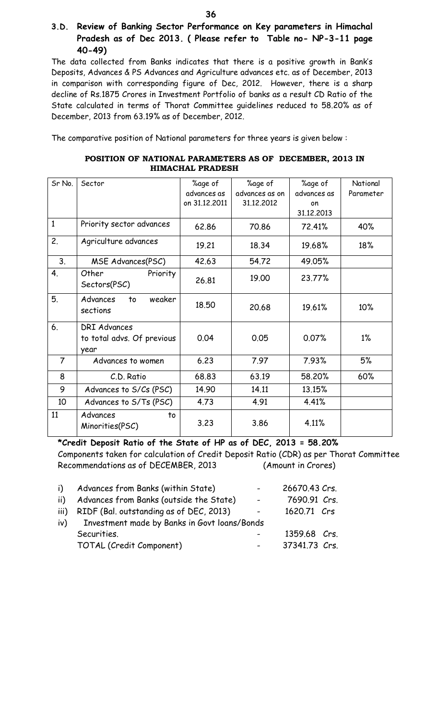The data collected from Banks indicates that there is a positive growth in Bank's Deposits, Advances & PS Advances and Agriculture advances etc. as of December, 2013 in comparison with corresponding figure of Dec, 2012. However, there is a sharp decline of Rs.1875 Crores in Investment Portfolio of banks as a result CD Ratio of the State calculated in terms of Thorat Committee guidelines reduced to 58.20% as of December, 2013 from 63.19% as of December, 2012.

The comparative position of National parameters for three years is given below :

| POSITION OF NATIONAL PARAMETERS AS OF DECEMBER, 2013 IN |  |
|---------------------------------------------------------|--|
| <b>HIMACHAL PRADESH</b>                                 |  |

| Sr No.         | Sector                                                    | %age of       | %age of        | %age of     | National  |
|----------------|-----------------------------------------------------------|---------------|----------------|-------------|-----------|
|                |                                                           | advances as   | advances as on | advances as | Parameter |
|                |                                                           | on 31.12.2011 | 31.12,2012     | on          |           |
|                |                                                           |               |                | 31.12.2013  |           |
| $\mathbf{1}$   | Priority sector advances                                  | 62.86         | 70.86          | 72.41%      | 40%       |
| 2.             | Agriculture advances                                      | 19.21         | 18.34          | 19.68%      | 18%       |
| 3.             | MSE Advances(PSC)                                         | 42.63         | 54.72          | 49.05%      |           |
| 4.             | Other<br>Priority<br>Sectors(PSC)                         | 26.81         | 19.00          | 23.77%      |           |
| 5.             | weaker<br>Advances<br>to<br>sections                      | 18.50         | 20.68          | 19.61%      | 10%       |
| 6.             | <b>DRI Advances</b><br>to total advs. Of previous<br>year | 0.04          | 0.05           | 0.07%       | $1\%$     |
| $\overline{7}$ | Advances to women                                         | 6.23          | 7.97           | 7.93%       | 5%        |
| 8              | C.D. Ratio                                                | 68.83         | 63.19          | 58.20%      | 60%       |
| 9              | Advances to S/Cs (PSC)                                    | 14.90         | 14.11          | 13.15%      |           |
| 10             | Advances to S/Ts (PSC)                                    | 4.73          | 4.91           | 4.41%       |           |
| 11             | Advances<br>to<br>Minorities(PSC)                         | 3.23          | 3.86           | 4.11%       |           |

**\*Credit Deposit Ratio of the State of HP as of DEC, 2013 = 58.20%** Components taken for calculation of Credit Deposit Ratio (CDR) as per Thorat Committee Recommendations as of DECEMBER, 2013 (Amount in Crores)

| i)   | Advances from Banks (within State)           | $\sim$ | 26670.43 Crs. |
|------|----------------------------------------------|--------|---------------|
| ii)  | Advances from Banks (outside the State)      |        | 7690.91 Crs.  |
| iii) | RIDF (Bal. outstanding as of DEC, 2013)      |        | 1620.71 Crs   |
| iv)  | Investment made by Banks in Govt loans/Bonds |        |               |
|      | Securities.                                  |        | 1359.68 Crs.  |
|      | TOTAL (Credit Component)                     |        | 37341.73 Crs. |
|      |                                              |        |               |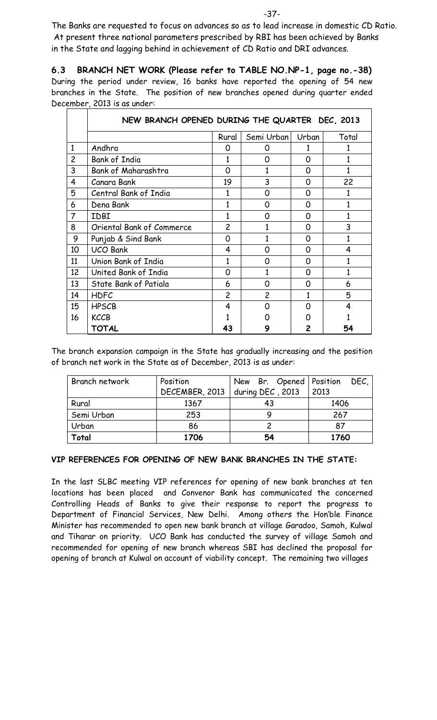The Banks are requested to focus on advances so as to lead increase in domestic CD Ratio. At present three national parameters prescribed by RBI has been achieved by Banks in the State and lagging behind in achievement of CD Ratio and DRI advances.

**6.3 BRANCH NET WORK (Please refer to TABLE NO.NP-1, page no.-38)** During the period under review, 16 banks have reported the opening of 54 new branches in the State. The position of new branches opened during quarter ended December, 2013 is as under:

|                | NEW BRANCH OPENED DURING THE QUARTER DEC, 2013 |                |                |       |       |  |  |
|----------------|------------------------------------------------|----------------|----------------|-------|-------|--|--|
|                |                                                | Rural          | Semi Urban     | Urban | Total |  |  |
| $\mathbf{1}$   | Andhra                                         | 0              | Ω              | 1     |       |  |  |
| $\overline{c}$ | <b>Bank of India</b>                           |                | Ω              | 0     |       |  |  |
| 3              | <b>Bank of Maharashtra</b>                     | 0              | 1              | 0     | 1     |  |  |
| 4              | Canara Bank                                    | 19             | 3              | 0     | 22    |  |  |
| 5              | Central Bank of India                          | 1              | 0              | 0     |       |  |  |
| 6              | Dena Bank                                      |                | Ω              | 0     |       |  |  |
| $\overline{7}$ | IDBI                                           | 1              | O              | 0     |       |  |  |
| 8              | Oriental Bank of Commerce                      | $\overline{c}$ |                | 0     | 3     |  |  |
| 9              | Punjab & Sind Bank                             | 0              |                | 0     |       |  |  |
| 10             | <b>UCO Bank</b>                                | 4              | O              | 0     | 4     |  |  |
| 11             | Union Bank of India                            | 1              | O              | 0     |       |  |  |
| 12             | United Bank of India                           | 0              | 1              | 0     | 1     |  |  |
| 13             | State Bank of Patiala                          | 6              | Ω              | 0     | 6     |  |  |
| 14             | <b>HDFC</b>                                    | $\overline{c}$ | $\overline{c}$ | 1     | 5     |  |  |
| 15             | <b>HPSCB</b>                                   | 4              | O              | O     | 4     |  |  |
| 16             | <b>KCCB</b>                                    |                |                |       |       |  |  |
|                | TOTAL                                          | 43             |                |       | 54    |  |  |

The branch expansion campaign in the State has gradually increasing and the position of branch net work in the State as of December, 2013 is as under:

| Branch network | Position       | New Br. Opened   Position | DEC. |  |
|----------------|----------------|---------------------------|------|--|
|                | DECEMBER, 2013 | during DEC, 2013          | 2013 |  |
| Rural          | 1367           | 43                        | 1406 |  |
| Semi Urban     | 253            |                           | 267  |  |
| Urban<br>86    |                |                           | 87   |  |
| Total          | 1706           | 54                        | 1760 |  |

#### **VIP REFERENCES FOR OPENING OF NEW BANK BRANCHES IN THE STATE:**

In the last SLBC meeting VIP references for opening of new bank branches at ten locations has been placed and Convenor Bank has communicated the concerned Controlling Heads of Banks to give their response to report the progress to Department of Financial Services, New Delhi. Among others the Hon'ble Finance Minister has recommended to open new bank branch at village Garadoo, Samoh, Kulwal and Tiharar on priority. UCO Bank has conducted the survey of village Samoh and recommended for opening of new branch whereas SBI has declined the proposal for opening of branch at Kulwal on account of viability concept. The remaining two villages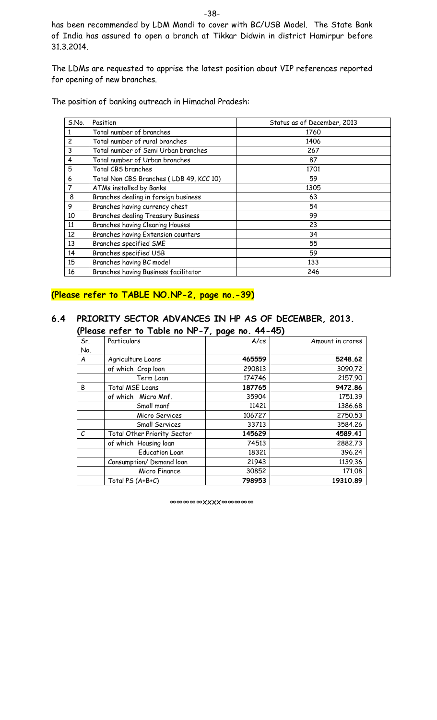has been recommended by LDM Mandi to cover with BC/USB Model. The State Bank of India has assured to open a branch at Tikkar Didwin in district Hamirpur before 31.3.2014.

The LDMs are requested to apprise the latest position about VIP references reported for opening of new branches.

The position of banking outreach in Himachal Pradesh:

| S.No.          | Position                                | Status as of December, 2013 |
|----------------|-----------------------------------------|-----------------------------|
| 1              | Total number of branches                | 1760                        |
| $\overline{c}$ | Total number of rural branches          | 1406                        |
| 3              | Total number of Semi Urban branches     | 267                         |
| 4              | Total number of Urban branches          | 87                          |
| 5              | Total CBS branches                      | 1701                        |
| 6              | Total Non CBS Branches (LDB 49, KCC 10) | 59                          |
| $\overline{7}$ | ATMs installed by Banks                 | 1305                        |
| 8              | Branches dealing in foreign business    | 63                          |
| 9              | Branches having currency chest          | 54                          |
| 10             | Branches dealing Treasury Business      | 99                          |
| 11             | Branches having Clearing Houses         | 23                          |
| 12             | Branches having Extension counters      | 34                          |
| 13             | Branches specified SME                  | 55                          |
| 14             | Branches specified USB                  | 59                          |
| 15             | Branches having BC model                | 133                         |
| 16             | Branches having Business facilitator    | 246                         |

## **(Please refer to TABLE NO.NP-2, page no.-39)**

#### **6.4 PRIORITY SECTOR ADVANCES IN HP AS OF DECEMBER, 2013. (Please refer to Table no NP-7, page no. 44-45)**

| Sr. | Particulars                 | , <b>, , ,</b> ,<br>A/cs | Amount in crores |
|-----|-----------------------------|--------------------------|------------------|
| No. |                             |                          |                  |
| A   | Agriculture Loans           | 465559                   | 5248.62          |
|     | of which Crop loan          | 290813                   | 3090.72          |
|     | Term Loan                   | 174746                   | 2157.90          |
| B   | <b>Total MSE Loans</b>      | 187765                   | 9472.86          |
|     | of which Micro Mnf.         | 35904                    | 1751.39          |
|     | Small manf                  | 11421                    | 1386.68          |
|     | Micro Services              | 106727                   | 2750.53          |
|     | <b>Small Services</b>       | 33713                    | 3584.26          |
| С   | Total Other Priority Sector | 145629                   | 4589.41          |
|     | of which Housing loan       | 74513                    | 2882.73          |
|     | <b>Education Loan</b>       | 18321                    | 396.24           |
|     | Consumption/Demand loan     | 21943                    | 1139.36          |
|     | Micro Finance               | 30852                    | 171.08           |
|     | Total PS (A+B+C)            | 798953                   | 19310.89         |

∞∞∞∞∞xxxx∞∞∞∞∞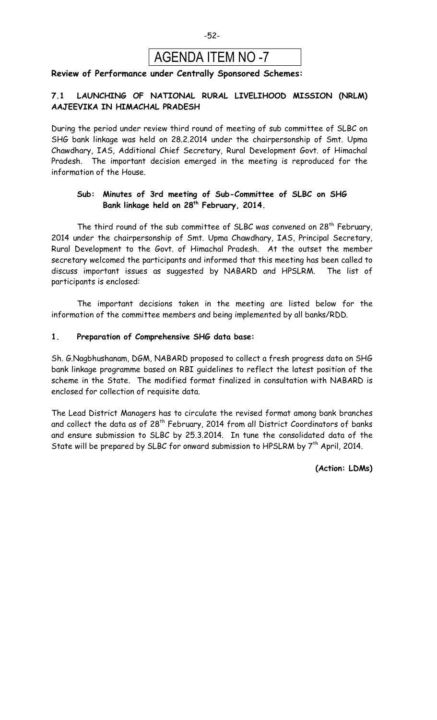

#### **Review of Performance under Centrally Sponsored Schemes:**

#### **7.1 LAUNCHING OF NATIONAL RURAL LIVELIHOOD MISSION (NRLM) AAJEEVIKA IN HIMACHAL PRADESH**

During the period under review third round of meeting of sub committee of SLBC on SHG bank linkage was held on 28.2.2014 under the chairpersonship of Smt. Upma Chawdhary, IAS, Additional Chief Secretary, Rural Development Govt. of Himachal Pradesh. The important decision emerged in the meeting is reproduced for the information of the House.

#### **Sub: Minutes of 3rd meeting of Sub-Committee of SLBC on SHG Bank linkage held on 28th February, 2014.**

The third round of the sub committee of SLBC was convened on 28<sup>th</sup> February, 2014 under the chairpersonship of Smt. Upma Chawdhary, IAS, Principal Secretary, Rural Development to the Govt. of Himachal Pradesh. At the outset the member secretary welcomed the participants and informed that this meeting has been called to discuss important issues as suggested by NABARD and HPSLRM. The list of participants is enclosed:

The important decisions taken in the meeting are listed below for the information of the committee members and being implemented by all banks/RDD.

#### **1. Preparation of Comprehensive SHG data base:**

Sh. G.Nagbhushanam, DGM, NABARD proposed to collect a fresh progress data on SHG bank linkage programme based on RBI guidelines to reflect the latest position of the scheme in the State. The modified format finalized in consultation with NABARD is enclosed for collection of requisite data.

The Lead District Managers has to circulate the revised format among bank branches and collect the data as of  $28<sup>th</sup>$  February, 2014 from all District Coordinators of banks and ensure submission to SLBC by 25.3.2014. In tune the consolidated data of the State will be prepared by SLBC for onward submission to HPSLRM by  $7<sup>th</sup>$  April, 2014.

**(Action: LDMs)**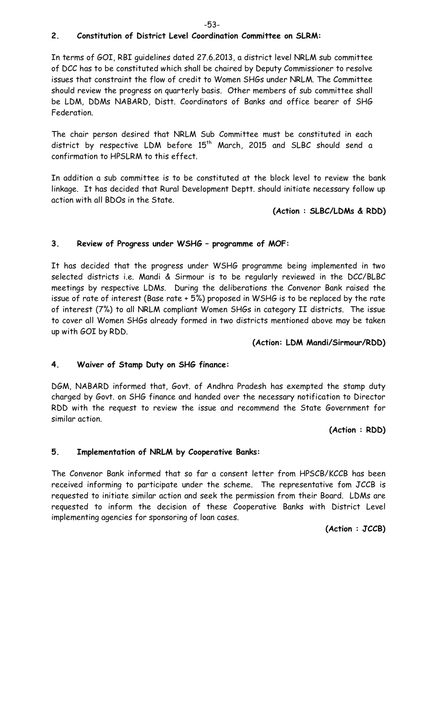#### **2. Constitution of District Level Coordination Committee on SLRM:**

In terms of GOI, RBI guidelines dated 27.6.2013, a district level NRLM sub committee of DCC has to be constituted which shall be chaired by Deputy Commissioner to resolve issues that constraint the flow of credit to Women SHGs under NRLM. The Committee should review the progress on quarterly basis. Other members of sub committee shall be LDM, DDMs NABARD, Distt. Coordinators of Banks and office bearer of SHG Federation.

The chair person desired that NRLM Sub Committee must be constituted in each district by respective LDM before 15<sup>th</sup> March, 2015 and SLBC should send a confirmation to HPSLRM to this effect.

In addition a sub committee is to be constituted at the block level to review the bank linkage. It has decided that Rural Development Deptt. should initiate necessary follow up action with all BDOs in the State.

**(Action : SLBC/LDMs & RDD)**

#### **3. Review of Progress under WSHG – programme of MOF:**

It has decided that the progress under WSHG programme being implemented in two selected districts i.e. Mandi & Sirmour is to be regularly reviewed in the DCC/BLBC meetings by respective LDMs. During the deliberations the Convenor Bank raised the issue of rate of interest (Base rate + 5%) proposed in WSHG is to be replaced by the rate of interest (7%) to all NRLM compliant Women SHGs in category II districts. The issue to cover all Women SHGs already formed in two districts mentioned above may be taken up with GOI by RDD.

#### **(Action: LDM Mandi/Sirmour/RDD)**

#### **4. Waiver of Stamp Duty on SHG finance:**

DGM, NABARD informed that, Govt. of Andhra Pradesh has exempted the stamp duty charged by Govt. on SHG finance and handed over the necessary notification to Director RDD with the request to review the issue and recommend the State Government for similar action.

**(Action : RDD)**

#### **5. Implementation of NRLM by Cooperative Banks:**

The Convenor Bank informed that so far a consent letter from HPSCB/KCCB has been received informing to participate under the scheme. The representative fom JCCB is requested to initiate similar action and seek the permission from their Board. LDMs are requested to inform the decision of these Cooperative Banks with District Level implementing agencies for sponsoring of loan cases.

**(Action : JCCB)**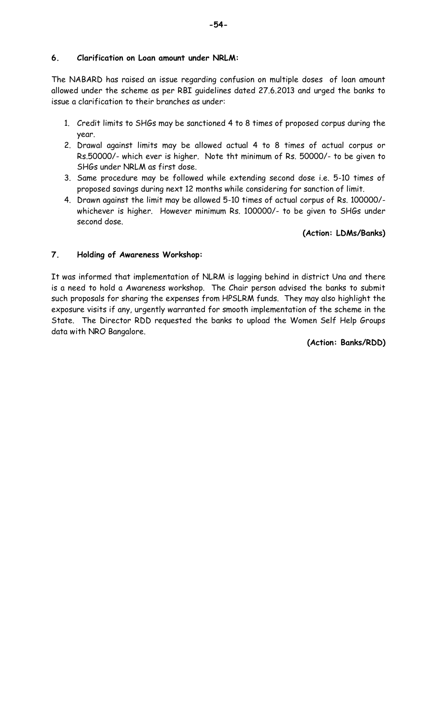#### **6. Clarification on Loan amount under NRLM:**

The NABARD has raised an issue regarding confusion on multiple doses of loan amount allowed under the scheme as per RBI guidelines dated 27.6.2013 and urged the banks to issue a clarification to their branches as under:

- 1. Credit limits to SHGs may be sanctioned 4 to 8 times of proposed corpus during the year.
- 2. Drawal against limits may be allowed actual 4 to 8 times of actual corpus or Rs.50000/- which ever is higher. Note tht minimum of Rs. 50000/- to be given to SHGs under NRLM as first dose.
- 3. Same procedure may be followed while extending second dose i.e. 5-10 times of proposed savings during next 12 months while considering for sanction of limit.
- 4. Drawn against the limit may be allowed 5-10 times of actual corpus of Rs. 100000/ whichever is higher. However minimum Rs. 100000/- to be given to SHGs under second dose.

#### **(Action: LDMs/Banks)**

#### **7. Holding of Awareness Workshop:**

It was informed that implementation of NLRM is lagging behind in district Una and there is a need to hold a Awareness workshop. The Chair person advised the banks to submit such proposals for sharing the expenses from HPSLRM funds. They may also highlight the exposure visits if any, urgently warranted for smooth implementation of the scheme in the State. The Director RDD requested the banks to upload the Women Self Help Groups data with NRO Bangalore.

#### **(Action: Banks/RDD)**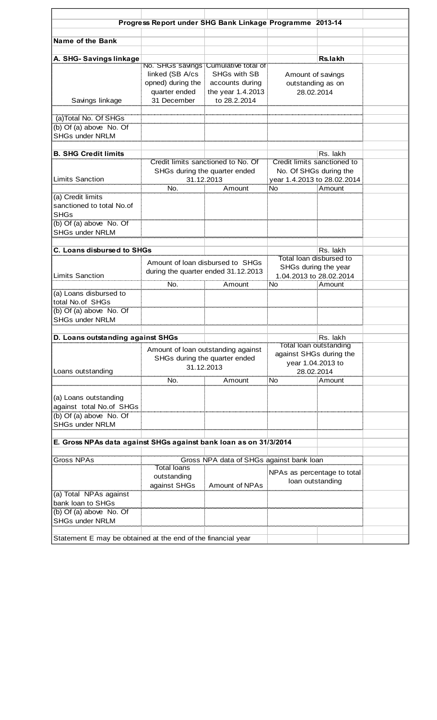|                                                                   | Progress Report under SHG Bank Linkage Programme 2013-14 |                                             |                                                 |          |  |
|-------------------------------------------------------------------|----------------------------------------------------------|---------------------------------------------|-------------------------------------------------|----------|--|
|                                                                   |                                                          |                                             |                                                 |          |  |
| Name of the Bank                                                  |                                                          |                                             |                                                 |          |  |
|                                                                   |                                                          |                                             |                                                 |          |  |
| A. SHG-Savings linkage                                            |                                                          | No. SHGS savings Cumulative total of        |                                                 | Rs.lakh  |  |
|                                                                   | linked (SB A/cs                                          | <b>SHGs with SB</b>                         | Amount of savings                               |          |  |
|                                                                   | opned) during the                                        | accounts during                             | outstanding as on                               |          |  |
|                                                                   | quarter ended                                            | the year 1.4.2013                           | 28.02.2014                                      |          |  |
| Savings linkage                                                   | 31 December                                              | to 28.2.2014                                |                                                 |          |  |
|                                                                   |                                                          |                                             |                                                 |          |  |
| (a)Total No. Of SHGs                                              |                                                          |                                             |                                                 |          |  |
| (b) Of (a) above No. Of                                           |                                                          |                                             |                                                 |          |  |
| <b>SHGs under NRLM</b>                                            |                                                          |                                             |                                                 |          |  |
| <b>B. SHG Credit limits</b>                                       |                                                          |                                             |                                                 | Rs. lakh |  |
|                                                                   |                                                          | Credit limits sanctioned to No. Of          | Credit limits sanctioned to                     |          |  |
|                                                                   |                                                          | SHGs during the quarter ended               | No. Of SHGs during the                          |          |  |
| <b>Limits Sanction</b>                                            |                                                          | 31.12.2013                                  | year 1.4.2013 to 28.02.2014                     |          |  |
|                                                                   | No.                                                      | Amount                                      | <b>No</b>                                       | Amount   |  |
| (a) Credit limits                                                 |                                                          |                                             |                                                 |          |  |
| sanctioned to total No.of<br><b>SHGs</b>                          |                                                          |                                             |                                                 |          |  |
| (b) Of (a) above No. Of                                           |                                                          |                                             |                                                 |          |  |
| <b>SHGs under NRLM</b>                                            |                                                          |                                             |                                                 |          |  |
|                                                                   |                                                          |                                             |                                                 |          |  |
| C. Loans disbursed to SHGs                                        |                                                          |                                             | Total loan disbursed to                         | Rs. lakh |  |
|                                                                   | Amount of loan disbursed to SHGs                         |                                             |                                                 |          |  |
| <b>Limits Sanction</b>                                            | during the quarter ended 31.12.2013                      |                                             | SHGs during the year<br>1.04.2013 to 28.02.2014 |          |  |
|                                                                   | No.                                                      | Amount                                      | No                                              | Amount   |  |
| (a) Loans disbursed to                                            |                                                          |                                             |                                                 |          |  |
| total No.of SHGs                                                  |                                                          |                                             |                                                 |          |  |
| $(b)$ Of $(a)$ above No. Of                                       |                                                          |                                             |                                                 |          |  |
| <b>SHGs under NRLM</b>                                            |                                                          |                                             |                                                 |          |  |
|                                                                   |                                                          |                                             |                                                 |          |  |
| D. Loans outstanding against SHGs                                 |                                                          |                                             | <b>Total loan outstanding</b>                   | Rs. lakh |  |
|                                                                   |                                                          | Amount of loan outstanding against          | against SHGs during the                         |          |  |
|                                                                   |                                                          | SHGs during the quarter ended<br>31.12.2013 | year 1.04.2013 to                               |          |  |
| Loans outstanding                                                 |                                                          |                                             | 28.02.2014                                      |          |  |
|                                                                   | No.                                                      | Amount                                      | No                                              | Amount   |  |
|                                                                   |                                                          |                                             |                                                 |          |  |
| (a) Loans outstanding                                             |                                                          |                                             |                                                 |          |  |
| against total No.of SHGs<br>(b) Of (a) above No. Of               |                                                          |                                             |                                                 |          |  |
| <b>SHGs under NRLM</b>                                            |                                                          |                                             |                                                 |          |  |
|                                                                   |                                                          |                                             |                                                 |          |  |
| E. Gross NPAs data against SHGs against bank loan as on 31/3/2014 |                                                          |                                             |                                                 |          |  |
|                                                                   |                                                          |                                             |                                                 |          |  |
| <b>Gross NPAs</b>                                                 |                                                          | Gross NPA data of SHGs against bank loan    |                                                 |          |  |
|                                                                   | <b>Total loans</b>                                       |                                             | NPAs as percentage to total                     |          |  |
|                                                                   | outstanding                                              |                                             | loan outstanding                                |          |  |
|                                                                   | against SHGs                                             | Amount of NPAs                              |                                                 |          |  |
| (a) Total NPAs against<br>bank loan to SHGs                       |                                                          |                                             |                                                 |          |  |
| (b) Of (a) above No. Of                                           |                                                          |                                             |                                                 |          |  |
| <b>SHGs under NRLM</b>                                            |                                                          |                                             |                                                 |          |  |
|                                                                   |                                                          |                                             |                                                 |          |  |
| Statement E may be obtained at the end of the financial year      |                                                          |                                             |                                                 |          |  |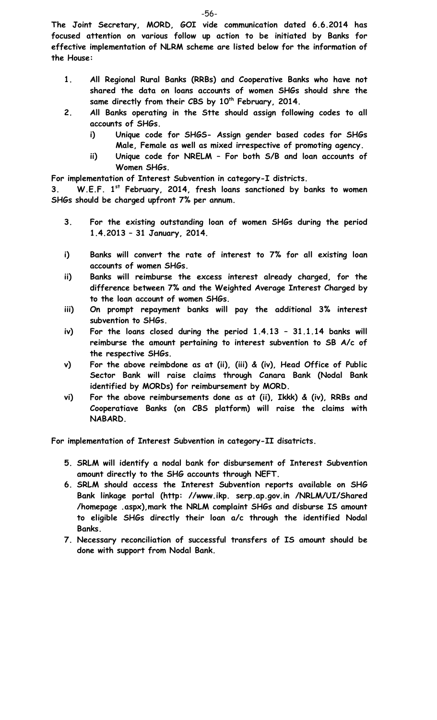**The Joint Secretary, MORD, GOI vide communication dated 6.6.2014 has focused attention on various follow up action to be initiated by Banks for effective implementation of NLRM scheme are listed below for the information of the House:**

- **1. All Regional Rural Banks (RRBs) and Cooperative Banks who have not shared the data on loans accounts of women SHGs should shre the**  same directly from their CBS by 10<sup>th</sup> February, 2014.
- **2. All Banks operating in the Stte should assign following codes to all accounts of SHGs.**
	- **i) Unique code for SHGS- Assign gender based codes for SHGs Male, Female as well as mixed irrespective of promoting agency.**
	- **ii) Unique code for NRELM – For both S/B and loan accounts of Women SHGs.**

**For implementation of Interest Subvention in category-I districts.**

**3. W.E.F. 1st February, 2014, fresh loans sanctioned by banks to women SHGs should be charged upfront 7% per annum.**

- **3. For the existing outstanding loan of women SHGs during the period 1.4.2013 – 31 January, 2014.**
- **i) Banks will convert the rate of interest to 7% for all existing loan accounts of women SHGs.**
- **ii) Banks will reimburse the excess interest already charged, for the difference between 7% and the Weighted Average Interest Charged by to the loan account of women SHGs.**
- **iii) On prompt repayment banks will pay the additional 3% interest subvention to SHGs.**
- **iv) For the loans closed during the period 1.4.13 – 31.1.14 banks will reimburse the amount pertaining to interest subvention to SB A/c of the respective SHGs.**
- **v) For the above reimbdone as at (ii), (iii) & (iv), Head Office of Public Sector Bank will raise claims through Canara Bank (Nodal Bank identified by MORDs) for reimbursement by MORD.**
- **vi) For the above reimbursements done as at (ii), Ikkk) & (iv), RRBs and Cooperatiave Banks (on CBS platform) will raise the claims with NABARD.**

**For implementation of Interest Subvention in category-II disatricts.**

- **5. SRLM will identify a nodal bank for disbursement of Interest Subvention amount directly to the SHG accounts through NEFT.**
- **6. SRLM should access the Interest Subvention reports available on SHG Bank linkage portal (http: //www.ikp. serp.ap.gov.in /NRLM/UI/Shared /homepage .aspx),mark the NRLM complaint SHGs and disburse IS amount to eligible SHGs directly their loan a/c through the identified Nodal Banks.**
- **7. Necessary reconciliation of successful transfers of IS amount should be done with support from Nodal Bank.**

-56-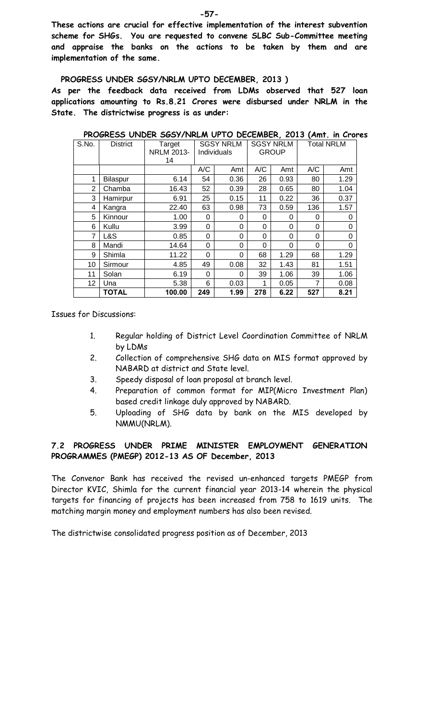**These actions are crucial for effective implementation of the interest subvention scheme for SHGs. You are requested to convene SLBC Sub-Committee meeting and appraise the banks on the actions to be taken by them and are implementation of the same.** 

#### **PROGRESS UNDER SGSY/NRLM UPTO DECEMBER, 2013 )**

**As per the feedback data received from LDMs observed that 527 loan applications amounting to Rs.8.21 Crores were disbursed under NRLM in the State. The districtwise progress is as under:** 

| S.No.          | <b>District</b> | Target<br><b>NRLM 2013-</b><br>14 |          | <b>SGSY NRLM</b><br>Individuals |          | <b>SGSY NRLM</b><br><b>GROUP</b> |          | <b>Total NRLM</b> |  |  |
|----------------|-----------------|-----------------------------------|----------|---------------------------------|----------|----------------------------------|----------|-------------------|--|--|
|                |                 |                                   | A/C      | Amt                             | A/C      | Amt                              | A/C      | Amt               |  |  |
| 1              | Bilaspur        | 6.14                              | 54       | 0.36                            | 26       | 0.93                             | 80       | 1.29              |  |  |
| $\overline{2}$ | Chamba          | 16.43                             | 52       | 0.39                            | 28       | 0.65                             | 80       | 1.04              |  |  |
| 3              | Hamirpur        | 6.91                              | 25       | 0.15                            | 11       | 0.22                             | 36       | 0.37              |  |  |
| 4              | Kangra          | 22.40                             | 63       | 0.98                            | 73       | 0.59                             | 136      | 1.57              |  |  |
| 5              | Kinnour         | 1.00                              | $\Omega$ | 0                               | $\Omega$ | 0                                | 0        | $\Omega$          |  |  |
| 6              | Kullu           | 3.99                              | 0        | 0                               | $\Omega$ | $\Omega$                         | 0        | 0                 |  |  |
| 7              | L&S             | 0.85                              | 0        | 0                               | 0        | $\Omega$                         | 0        | 0                 |  |  |
| 8              | Mandi           | 14.64                             | 0        | 0                               | $\Omega$ | $\Omega$                         | $\Omega$ | $\Omega$          |  |  |
| 9              | Shimla          | 11.22                             | 0        | 0                               | 68       | 1.29                             | 68       | 1.29              |  |  |
| 10             | Sirmour         | 4.85                              | 49       | 0.08                            | 32       | 1.43                             | 81       | 1.51              |  |  |
| 11             | Solan           | 6.19                              | 0        | 0                               | 39       | 1.06                             | 39       | 1.06              |  |  |
| 12             | Una             | 5.38                              | 6        | 0.03                            | 1        | 0.05                             | 7        | 0.08              |  |  |
|                | <b>TOTAL</b>    | 100.00                            | 249      | 1.99                            | 278      | 6.22                             | 527      | 8.21              |  |  |

**PROGRESS UNDER SGSY/NRLM UPTO DECEMBER, 2013 (Amt. in Crores**

Issues for Discussions:

- 1. Regular holding of District Level Coordination Committee of NRLM by LDMs
- 2. Collection of comprehensive SHG data on MIS format approved by NABARD at district and State level.
- 3. Speedy disposal of loan proposal at branch level.
- 4. Preparation of common format for MIP(Micro Investment Plan) based credit linkage duly approved by NABARD.
- 5. Uploading of SHG data by bank on the MIS developed by NMMU(NRLM).

#### **7.2 PROGRESS UNDER PRIME MINISTER EMPLOYMENT GENERATION PROGRAMMES (PMEGP) 2012-13 AS OF December, 2013**

The Convenor Bank has received the revised un-enhanced targets PMEGP from Director KVIC, Shimla for the current financial year 2013-14 wherein the physical targets for financing of projects has been increased from 758 to 1619 units. The matching margin money and employment numbers has also been revised.

The districtwise consolidated progress position as of December, 2013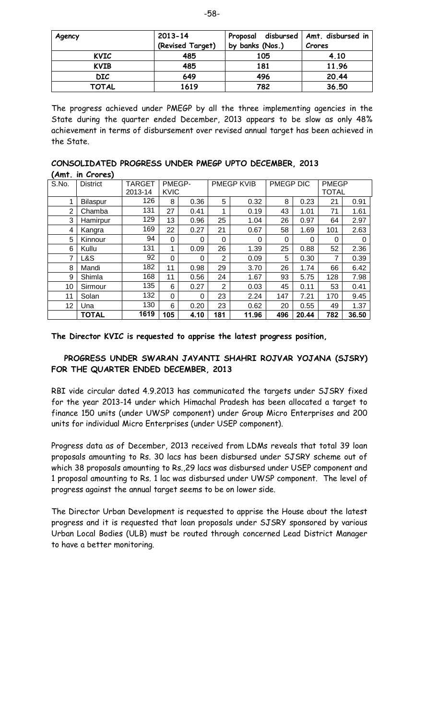| Agency       | $2013 - 14$      | Proposal disbursed   Amt. disbursed in |        |
|--------------|------------------|----------------------------------------|--------|
|              | (Revised Target) | by banks (Nos.)                        | Crores |
| <b>KVIC</b>  | 485              | 105                                    | 4.10   |
| <b>KVIB</b>  | 485              | 181                                    | 11.96  |
| <b>DIC</b>   | 649              | 496                                    | 20.44  |
| <b>TOTAL</b> | 1619             | 782                                    | 36.50  |

The progress achieved under PMEGP by all the three implementing agencies in the State during the quarter ended December, 2013 appears to be slow as only 48% achievement in terms of disbursement over revised annual target has been achieved in the State.

|                   |  |  | CONSOLIDATED PROGRESS UNDER PMEGP UPTO DECEMBER, 2013 |  |
|-------------------|--|--|-------------------------------------------------------|--|
| $(Am+ in Change)$ |  |  |                                                       |  |

|                | AMT. IN Crores) |                   |                       |      |                |            |           |       |                              |       |
|----------------|-----------------|-------------------|-----------------------|------|----------------|------------|-----------|-------|------------------------------|-------|
| S.No.          | <b>District</b> | TARGET<br>2013-14 | PMEGP-<br><b>KVIC</b> |      |                | PMEGP KVIB | PMEGP DIC |       | <b>PMEGP</b><br><b>TOTAL</b> |       |
|                | Bilaspur        | 126               | 8                     | 0.36 | 5              | 0.32       | 8         | 0.23  | 21                           | 0.91  |
| $\overline{2}$ | Chamba          | 131               | 27                    | 0.41 | 1              | 0.19       | 43        | 1.01  | 71                           | 1.61  |
| 3              | Hamirpur        | 129               | 13                    | 0.96 | 25             | 1.04       | 26        | 0.97  | 64                           | 2.97  |
| 4              | Kangra          | 169               | 22                    | 0.27 | 21             | 0.67       | 58        | 1.69  | 101                          | 2.63  |
| 5              | Kinnour         | 94                | $\Omega$              | 0    | 0              | 0          | 0         | 0     | 0                            | 0     |
| 6              | Kullu           | 131               | 1                     | 0.09 | 26             | 1.39       | 25        | 0.88  | 52                           | 2.36  |
| 7              | L&S             | 92                | $\Omega$              | 0    | 2              | 0.09       | 5         | 0.30  | 7                            | 0.39  |
| 8              | Mandi           | 182               | 11                    | 0.98 | 29             | 3.70       | 26        | 1.74  | 66                           | 6.42  |
| 9              | Shimla          | 168               | 11                    | 0.56 | 24             | 1.67       | 93        | 5.75  | 128                          | 7.98  |
| 10             | Sirmour         | 135               | 6                     | 0.27 | $\overline{2}$ | 0.03       | 45        | 0.11  | 53                           | 0.41  |
| 11             | Solan           | 132               | $\Omega$              | 0    | 23             | 2.24       | 147       | 7.21  | 170                          | 9.45  |
| 12             | Una             | 130               | 6                     | 0.20 | 23             | 0.62       | 20        | 0.55  | 49                           | 1.37  |
|                | <b>TOTAL</b>    | 1619              | 105                   | 4.10 | 181            | 11.96      | 496       | 20.44 | 782                          | 36.50 |

**The Director KVIC is requested to apprise the latest progress position,**

#### **PROGRESS UNDER SWARAN JAYANTI SHAHRI ROJVAR YOJANA (SJSRY) FOR THE QUARTER ENDED DECEMBER, 2013**

RBI vide circular dated 4.9.2013 has communicated the targets under SJSRY fixed for the year 2013-14 under which Himachal Pradesh has been allocated a target to finance 150 units (under UWSP component) under Group Micro Enterprises and 200 units for individual Micro Enterprises (under USEP component).

Progress data as of December, 2013 received from LDMs reveals that total 39 loan proposals amounting to Rs. 30 lacs has been disbursed under SJSRY scheme out of which 38 proposals amounting to Rs.,29 lacs was disbursed under USEP component and 1 proposal amounting to Rs. 1 lac was disbursed under UWSP component. The level of progress against the annual target seems to be on lower side.

The Director Urban Development is requested to apprise the House about the latest progress and it is requested that loan proposals under SJSRY sponsored by various Urban Local Bodies (ULB) must be routed through concerned Lead District Manager to have a better monitoring.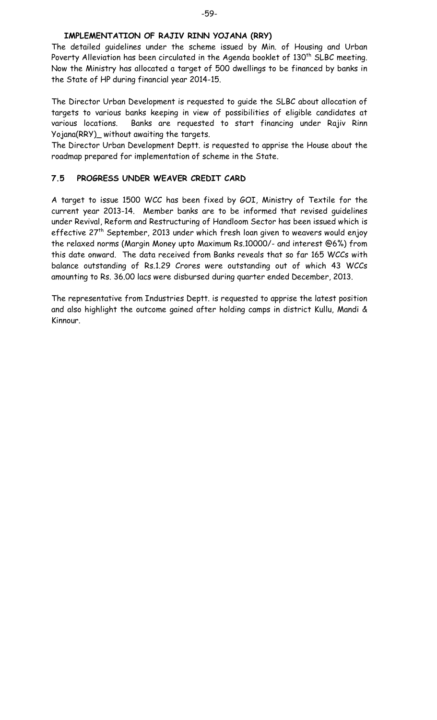#### **IMPLEMENTATION OF RAJIV RINN YOJANA (RRY)**

The detailed guidelines under the scheme issued by Min. of Housing and Urban Poverty Alleviation has been circulated in the Agenda booklet of  $130<sup>th</sup>$  SLBC meeting. Now the Ministry has allocated a target of 500 dwellings to be financed by banks in the State of HP during financial year 2014-15.

The Director Urban Development is requested to guide the SLBC about allocation of targets to various banks keeping in view of possibilities of eligible candidates at various locations. Banks are requested to start financing under Rajiv Rinn Yojana(RRY)\_ without awaiting the targets.

The Director Urban Development Deptt. is requested to apprise the House about the roadmap prepared for implementation of scheme in the State.

#### **7.5 PROGRESS UNDER WEAVER CREDIT CARD**

A target to issue 1500 WCC has been fixed by GOI, Ministry of Textile for the current year 2013-14. Member banks are to be informed that revised guidelines under Revival, Reform and Restructuring of Handloom Sector has been issued which is effective 27<sup>th</sup> September, 2013 under which fresh loan given to weavers would enjoy the relaxed norms (Margin Money upto Maximum Rs.10000/- and interest @6%) from this date onward. The data received from Banks reveals that so far 165 WCCs with balance outstanding of Rs.1.29 Crores were outstanding out of which 43 WCCs amounting to Rs. 36.00 lacs were disbursed during quarter ended December, 2013.

The representative from Industries Deptt. is requested to apprise the latest position and also highlight the outcome gained after holding camps in district Kullu, Mandi & Kinnour.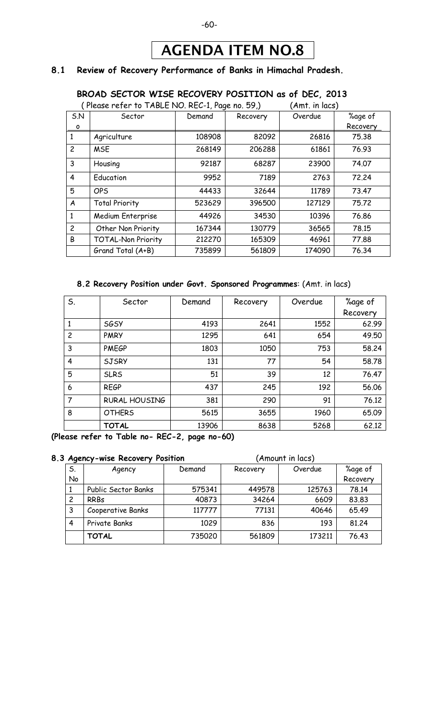#### -60-

## AGENDA ITEM NO.8

#### **8.1 Review of Recovery Performance of Banks in Himachal Pradesh.**

#### **BROAD SECTOR WISE RECOVERY POSITION as of DEC, 2013**

|                | (Please refer to TABLE NO. REC-1, Page no. 59,) | (Amt. in lacs) |          |         |          |
|----------------|-------------------------------------------------|----------------|----------|---------|----------|
| 5N             | Sector                                          | Demand         | Recovery | Overdue | %age of  |
| O              |                                                 |                |          |         | Recovery |
| 1              | Agriculture                                     | 108908         | 82092    | 26816   | 75.38    |
| $\overline{c}$ | <b>MSE</b>                                      | 268149         | 206288   | 61861   | 76.93    |
| 3              | Housing                                         | 92187          | 68287    | 23900   | 74.07    |
| 4              | Education                                       | 9952           | 7189     | 2763    | 72.24    |
| 5              | <b>OPS</b>                                      | 44433          | 32644    | 11789   | 73.47    |
| A              | <b>Total Priority</b>                           | 523629         | 396500   | 127129  | 75.72    |
| 1              | Medium Enterprise                               | 44926          | 34530    | 10396   | 76.86    |
| $\overline{c}$ | Other Non Priority                              | 167344         | 130779   | 36565   | 78.15    |
| B              | <b>TOTAL-Non Priority</b>                       | 212270         | 165309   | 46961   | 77.88    |
|                | Grand Total (A+B)                               | 735899         | 561809   | 174090  | 76.34    |

#### **8.2 Recovery Position under Govt. Sponsored Programmes**: (Amt. in lacs)

| S.             | Sector               | Demand | Recovery | Overdue | %age of  |
|----------------|----------------------|--------|----------|---------|----------|
|                |                      |        |          |         | Recovery |
|                | <b>SGSY</b>          | 4193   | 2641     | 1552    | 62.99    |
| $\overline{c}$ | <b>PMRY</b>          | 1295   | 641      | 654     | 49.50    |
| 3              | <b>PMEGP</b>         | 1803   | 1050     | 753     | 58.24    |
| $\overline{4}$ | <b>SJSRY</b>         | 131    | 77       | 54      | 58.78    |
| 5              | <b>SLRS</b>          | 51     | 39       | 12      | 76.47    |
| 6              | <b>REGP</b>          | 437    | 245      | 192     | 56.06    |
| 7              | <b>RURAL HOUSING</b> | 381    | 290      | 91      | 76.12    |
| 8              | <b>OTHERS</b>        | 5615   | 3655     | 1960    | 65.09    |
|                | <b>TOTAL</b>         | 13906  | 8638     | 5268    | 62.12    |

**(Please refer to Table no- REC-2, page no-60)**

#### **8.3 Agency-wise Recovery Position** (Amount in lacs) S. No Agency | Demand | Recovery | Overdue | %age of Recovery 1 Public Sector Banks | 575341 449578 | 125763 78.14 2 RRBs | 40873 | 34264 | 6609 | 83.83 3 Cooperative Banks | 117777 | 77131 | 40646 65.49

4 Private Banks 1029 836 193 81.24

**TOTAL**  $\begin{array}{|c|c|c|c|c|c|c|c|} \hline \text{735020} & \text{561809} & \text{173211} & \text{76.43} \hline \end{array}$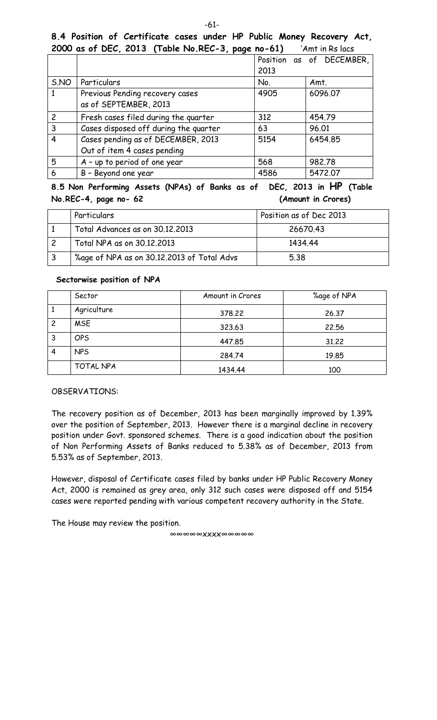#### **8.4 Position of Certificate cases under HP Public Money Recovery Act, 2000 as of DEC, 2013 (Table No.REC-3, page no-61)** 'Amt in Rs lacs

|                |                                       |      | Position as of DECEMBER, |
|----------------|---------------------------------------|------|--------------------------|
|                |                                       | 2013 |                          |
| S.NO           | Particulars                           | No.  | Amt.                     |
| 1              | Previous Pending recovery cases       | 4905 | 6096.07                  |
|                | as of SEPTEMBER, 2013                 |      |                          |
| $\overline{2}$ | Fresh cases filed during the quarter  | 312  | 454.79                   |
| $\overline{3}$ | Cases disposed off during the quarter | 63   | 96.01                    |
| 4              | Cases pending as of DECEMBER, 2013    | 5154 | 6454.85                  |
|                | Out of item 4 cases pending           |      |                          |
| 5              | A - up to period of one year          | 568  | 982.78                   |
| 6              | B - Beyond one year                   | 4586 | 5472.07                  |

**8.5 Non Performing Assets (NPAs) of Banks as of DEC, 2013 in HP (Table No.REC-4, page no- 62 (Amount in Crores)**

| Particulars                                | Position as of Dec 2013 |
|--------------------------------------------|-------------------------|
| Total Advances as on 30.12.2013            | 26670.43                |
| Total NPA as on 30.12,2013                 | 1434.44                 |
| %age of NPA as on 30.12.2013 of Total Advs | 5.38                    |

#### **Sectorwise position of NPA**

|                | Sector      | Amount in Crores | %age of NPA |
|----------------|-------------|------------------|-------------|
|                | Agriculture | 378,22           | 26.37       |
| $\overline{c}$ | <b>MSE</b>  | 323.63           | 22.56       |
| 3              | <b>OPS</b>  | 447.85           | 31.22       |
| $\overline{4}$ | <b>NPS</b>  | 284.74           | 19.85       |
|                | TOTAL NPA   | 1434.44          | 100         |

#### OBSERVATIONS:

The recovery position as of December, 2013 has been marginally improved by 1.39% over the position of September, 2013. However there is a marginal decline in recovery position under Govt. sponsored schemes. There is a good indication about the position of Non Performing Assets of Banks reduced to 5.38% as of December, 2013 from 5.53% as of September, 2013.

However, disposal of Certificate cases filed by banks under HP Public Recovery Money Act, 2000 is remained as grey area, only 312 such cases were disposed off and 5154 cases were reported pending with various competent recovery authority in the State.

The House may review the position.

∞∞∞∞∞xxxx∞∞∞∞∞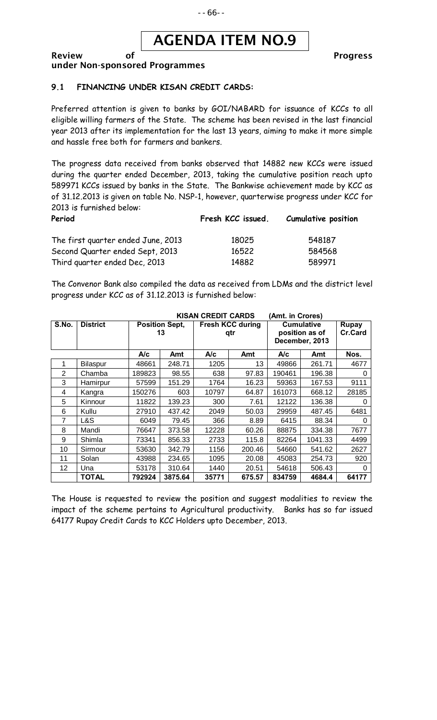## AGENDA ITEM NO.9

#### Review of **Progress** under Non-sponsored Programmes

#### **9.1 FINANCING UNDER KISAN CREDIT CARDS:**

Preferred attention is given to banks by GOI/NABARD for issuance of KCCs to all eligible willing farmers of the State. The scheme has been revised in the last financial year 2013 after its implementation for the last 13 years, aiming to make it more simple and hassle free both for farmers and bankers.

The progress data received from banks observed that 14882 new KCCs were issued during the quarter ended December, 2013, taking the cumulative position reach upto 589971 KCCs issued by banks in the State. The Bankwise achievement made by KCC as of 31.12.2013 is given on table No. NSP-1, however, quarterwise progress under KCC for 2013 is furnished below:

| Period                             | Fresh KCC issued. | <b>Cumulative position</b> |
|------------------------------------|-------------------|----------------------------|
| The first quarter ended June, 2013 | 18025             | 548187                     |
| Second Quarter ended Sept, 2013    | 16522             | 584568                     |
| Third guarter ended Dec, 2013      | 14882             | 589971                     |

The Convenor Bank also compiled the data as received from LDMs and the district level progress under KCC as of 31.12.2013 is furnished below:

| <b>KISAN CREDIT CARDS</b><br>(Amt. in Crores) |                 |                             |         |                                |        |                                                       |         |                                |
|-----------------------------------------------|-----------------|-----------------------------|---------|--------------------------------|--------|-------------------------------------------------------|---------|--------------------------------|
| S.No.                                         | <b>District</b> | <b>Position Sept,</b><br>13 |         | <b>Fresh KCC during</b><br>qtr |        | <b>Cumulative</b><br>position as of<br>December, 2013 |         | <b>Rupay</b><br><b>Cr.Card</b> |
|                                               |                 | A/c                         | Amt     | A/c                            | Amt    | A/c                                                   | Amt     | Nos.                           |
| 1                                             | Bilaspur        | 48661                       | 248.71  | 1205                           | 13     | 49866                                                 | 261.71  | 4677                           |
| 2                                             | Chamba          | 189823                      | 98.55   | 638                            | 97.83  | 190461                                                | 196.38  | 0                              |
| 3                                             | Hamirpur        | 57599                       | 151.29  | 1764                           | 16.23  | 59363                                                 | 167.53  | 9111                           |
| 4                                             | Kangra          | 150276                      | 603     | 10797                          | 64.87  | 161073                                                | 668.12  | 28185                          |
| 5                                             | Kinnour         | 11822                       | 139.23  | 300                            | 7.61   | 12122                                                 | 136.38  | 0                              |
| 6                                             | Kullu           | 27910                       | 437.42  | 2049                           | 50.03  | 29959                                                 | 487.45  | 6481                           |
| 7                                             | L&S             | 6049                        | 79.45   | 366                            | 8.89   | 6415                                                  | 88.34   | 0                              |
| 8                                             | Mandi           | 76647                       | 373.58  | 12228                          | 60.26  | 88875                                                 | 334.38  | 7677                           |
| 9                                             | Shimla          | 73341                       | 856.33  | 2733                           | 115.8  | 82264                                                 | 1041.33 | 4499                           |
| 10                                            | Sirmour         | 53630                       | 342.79  | 1156                           | 200.46 | 54660                                                 | 541.62  | 2627                           |
| 11                                            | Solan           | 43988                       | 234.65  | 1095                           | 20.08  | 45083                                                 | 254.73  | 920                            |
| 12                                            | Una             | 53178                       | 310.64  | 1440                           | 20.51  | 54618                                                 | 506.43  | 0                              |
|                                               | <b>TOTAL</b>    | 792924                      | 3875.64 | 35771                          | 675.57 | 834759                                                | 4684.4  | 64177                          |

The House is requested to review the position and suggest modalities to review the impact of the scheme pertains to Agricultural productivity. Banks has so far issued 64177 Rupay Credit Cards to KCC Holders upto December, 2013.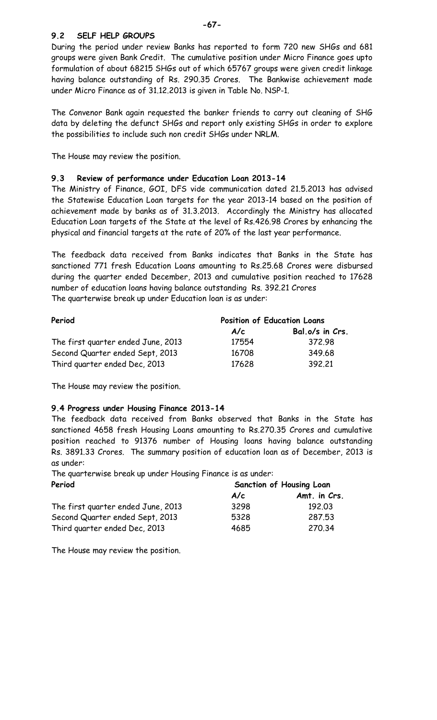#### **9.2 SELF HELP GROUPS**

During the period under review Banks has reported to form 720 new SHGs and 681 groups were given Bank Credit. The cumulative position under Micro Finance goes upto formulation of about 68215 SHGs out of which 65767 groups were given credit linkage having balance outstanding of Rs. 290.35 Crores. The Bankwise achievement made under Micro Finance as of 31.12.2013 is given in Table No. NSP-1.

The Convenor Bank again requested the banker friends to carry out cleaning of SHG data by deleting the defunct SHGs and report only existing SHGs in order to explore the possibilities to include such non credit SHGs under NRLM.

The House may review the position.

#### **9.3 Review of performance under Education Loan 2013-14**

The Ministry of Finance, GOI, DFS vide communication dated 21.5.2013 has advised the Statewise Education Loan targets for the year 2013-14 based on the position of achievement made by banks as of 31.3.2013. Accordingly the Ministry has allocated Education Loan targets of the State at the level of Rs.426.98 Crores by enhancing the physical and financial targets at the rate of 20% of the last year performance.

The feedback data received from Banks indicates that Banks in the State has sanctioned 771 fresh Education Loans amounting to Rs.25.68 Crores were disbursed during the quarter ended December, 2013 and cumulative position reached to 17628 number of education loans having balance outstanding Rs. 392.21 Crores The quarterwise break up under Education loan is as under:

| Period                             | <b>Position of Education Loans</b> |                 |  |  |
|------------------------------------|------------------------------------|-----------------|--|--|
|                                    | A/c                                | Bal.o/s in Crs. |  |  |
| The first quarter ended June, 2013 | 17554                              | 372.98          |  |  |
| Second Quarter ended Sept, 2013    | 16708                              | 349.68          |  |  |
| Third quarter ended Dec, 2013      | 17628                              | 392.21          |  |  |

The House may review the position.

#### **9.4 Progress under Housing Finance 2013-14**

The feedback data received from Banks observed that Banks in the State has sanctioned 4658 fresh Housing Loans amounting to Rs.270.35 Crores and cumulative position reached to 91376 number of Housing loans having balance outstanding Rs. 3891.33 Crores. The summary position of education loan as of December, 2013 is as under:

The quarterwise break up under Housing Finance is as under: **Period Sanction of Housing Loan**

|                                    | A/c  | Amt. in Crs. |  |
|------------------------------------|------|--------------|--|
| The first quarter ended June, 2013 | 3298 | 192.03       |  |
| Second Quarter ended Sept, 2013    | 5328 | 287.53       |  |
| Third quarter ended Dec, 2013      | 4685 | 270.34       |  |

The House may review the position.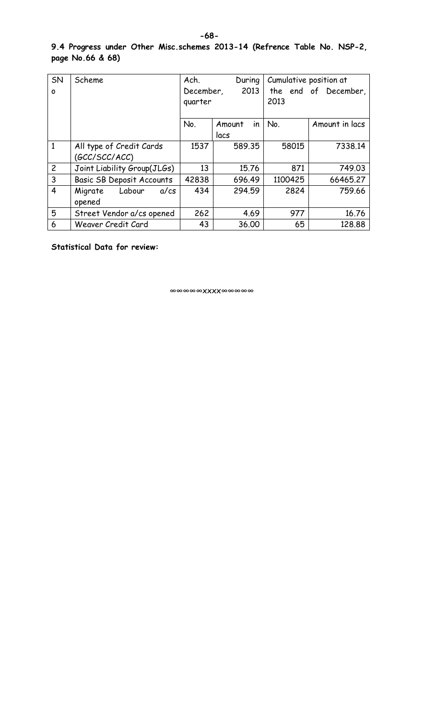#### **9.4 Progress under Other Misc.schemes 2013-14 (Refrence Table No. NSP-2, page No.66 & 68)**

| SN             | Scheme                           | Ach.      | During       | Cumulative position at |                      |
|----------------|----------------------------------|-----------|--------------|------------------------|----------------------|
| $\mathbf{o}$   |                                  | December, | 2013         |                        | the end of December, |
|                |                                  | quarter   |              | 2013                   |                      |
|                |                                  |           |              |                        |                      |
|                |                                  | No.       | in<br>Amount | No.                    | Amount in lacs       |
|                |                                  |           | lacs         |                        |                      |
| $\mathbf{1}$   | All type of Credit Cards         | 1537      | 589.35       | 58015                  | 7338.14              |
|                | (GCC/SCC/ACC)                    |           |              |                        |                      |
| $\overline{2}$ | Joint Liability Group(JLGs)      | 13        | 15.76        | 871                    | 749.03               |
| 3              | <b>Basic SB Deposit Accounts</b> | 42838     | 696.49       | 1100425                | 66465.27             |
| $\overline{4}$ | Labour<br>Migrate<br>$a$ / $cs$  | 434       | 294.59       | 2824                   | 759.66               |
|                | opened                           |           |              |                        |                      |
| 5              | Street Vendor a/cs opened        | 262       | 4.69         | 977                    | 16.76                |
| 6              | Weaver Credit Card               | 43        | 36.00        | 65                     | 128,88               |

**Statistical Data for review:**

∞∞∞∞∞xxxx∞∞∞∞∞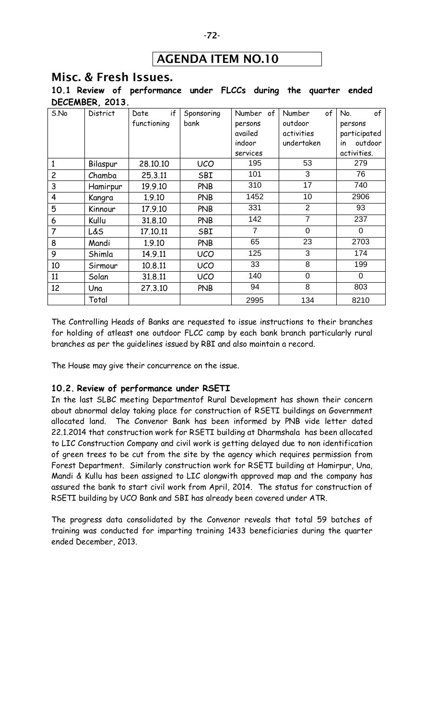## AGENDA ITEM NO.10

#### Misc. & Fresh Issues.

**10.1 Review of performance under FLCCs during the quarter ended DECEMBER, 2013.**

| S.No           | District | if<br>Date  | Sponsoring | Number of      | of<br>Number   | of<br>No.     |
|----------------|----------|-------------|------------|----------------|----------------|---------------|
|                |          | functioning | bank       | persons        | outdoor        | persons       |
|                |          |             |            | availed        | activities     | participated  |
|                |          |             |            | indoor         | undertaken     | outdoor<br>in |
|                |          |             |            | services       |                | activities.   |
| 1              | Bilaspur | 28,10,10    | <b>UCO</b> | 195            | 53             | 279           |
| $\overline{c}$ | Chamba   | 25.3.11     | SBI        | 101            | 3              | 76            |
| 3              | Hamirpur | 19.9.10     | <b>PNB</b> | 310            | 17             | 740           |
| 4              | Kangra   | 1.9.10      | <b>PNB</b> | 1452           | 10             | 2906          |
| 5              | Kinnour  | 17.9.10     | <b>PNB</b> | 331            | $\overline{2}$ | 93            |
| 6              | Kullu    | 31.8.10     | <b>PNB</b> | 142            | $\overline{7}$ | 237           |
| $\overline{7}$ | L&S      | 17.10.11    | SBI        | $\overline{7}$ | $\Omega$       | $\Omega$      |
| 8              | Mandi    | 1.9.10      | <b>PNB</b> | 65             | 23             | 2703          |
| 9              | Shimla   | 14.9.11     | <b>UCO</b> | 125            | 3              | 174           |
| 10             | Sirmour  | 10.8.11     | <b>UCO</b> | 33             | 8              | 199           |
| 11             | Solan    | 31.8.11     | <b>UCO</b> | 140            | $\overline{0}$ | $\Omega$      |
| 12             | Una      | 27.3.10     | <b>PNB</b> | 94             | 8              | 803           |
|                | Total    |             |            | 2995           | 134            | 8210          |

The Controlling Heads of Banks are requested to issue instructions to their branches for holding of atleast one outdoor FLCC camp by each bank branch particularly rural branches as per the guidelines issued by RBI and also maintain a record.

The House may give their concurrence on the issue.

#### **10.2. Review of performance under RSETI**

In the last SLBC meeting Departmentof Rural Development has shown their concern about abnormal delay taking place for construction of RSETI buildings on Government allocated land. The Convenor Bank has been informed by PNB vide letter dated 22.1.2014 that construction work for RSETI building at Dharmshala has been allocated to LIC Construction Company and civil work is getting delayed due to non identification of green trees to be cut from the site by the agency which requires permission from Forest Department. Similarly construction work for RSETI building at Hamirpur, Una, Mandi & Kullu has been assigned to LIC alongwith approved map and the company has assured the bank to start civil work from April, 2014. The status for construction of RSETI building by UCO Bank and SBI has already been covered under ATR.

The progress data consolidated by the Convenor reveals that total 59 batches of training was conducted for imparting training 1433 beneficiaries during the quarter ended December, 2013.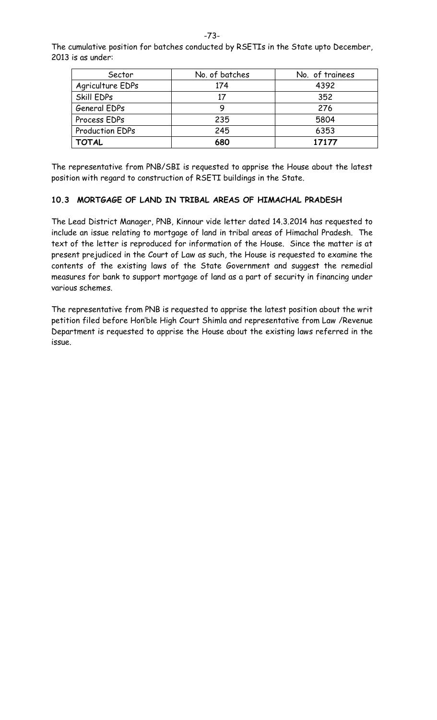The cumulative position for batches conducted by RSETIs in the State upto December, 2013 is as under:

| Sector                 | No. of batches | No. of trainees |  |
|------------------------|----------------|-----------------|--|
| Agriculture EDPs       | 174            | 4392            |  |
| Skill EDPs             | 17             | 352             |  |
| General EDPs           | 9              | 276             |  |
| Process EDPs           | 235            | 5804            |  |
| <b>Production EDPs</b> | 245            | 6353            |  |
| <b>TOTAL</b>           | 680            | 17177           |  |

The representative from PNB/SBI is requested to apprise the House about the latest position with regard to construction of RSETI buildings in the State.

#### **10.3 MORTGAGE OF LAND IN TRIBAL AREAS OF HIMACHAL PRADESH**

The Lead District Manager, PNB, Kinnour vide letter dated 14.3.2014 has requested to include an issue relating to mortgage of land in tribal areas of Himachal Pradesh. The text of the letter is reproduced for information of the House. Since the matter is at present prejudiced in the Court of Law as such, the House is requested to examine the contents of the existing laws of the State Government and suggest the remedial measures for bank to support mortgage of land as a part of security in financing under various schemes.

The representative from PNB is requested to apprise the latest position about the writ petition filed before Hon'ble High Court Shimla and representative from Law /Revenue Department is requested to apprise the House about the existing laws referred in the issue.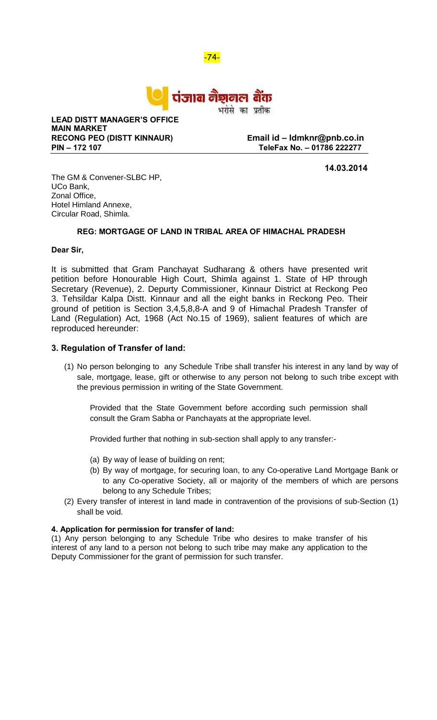-74-



भरोसे का प्रतीक

**LEAD DISTT MANAGER'S OFFICE MAIN MARKET RECONG PEO (DISTT KINNAUR) Email id – ldmknr@pnb.co.in**

**PIN – 172 107 TeleFax No. – 01786 222277**

**14.03.2014**

The GM & Convener-SLBC HP, UCo Bank, Zonal Office, Hotel Himland Annexe, Circular Road, Shimla.

#### **REG: MORTGAGE OF LAND IN TRIBAL AREA OF HIMACHAL PRADESH**

#### **Dear Sir,**

It is submitted that Gram Panchayat Sudharang & others have presented writ petition before Honourable High Court, Shimla against 1. State of HP through Secretary (Revenue), 2. Depurty Commissioner, Kinnaur District at Reckong Peo 3. Tehsildar Kalpa Distt. Kinnaur and all the eight banks in Reckong Peo. Their ground of petition is Section 3,4,5,8,8-A and 9 of Himachal Pradesh Transfer of Land (Regulation) Act, 1968 (Act No.15 of 1969), salient features of which are reproduced hereunder:

#### **3. Regulation of Transfer of land:**

(1) No person belonging to any Schedule Tribe shall transfer his interest in any land by way of sale, mortgage, lease, gift or otherwise to any person not belong to such tribe except with the previous permission in writing of the State Government.

Provided that the State Government before according such permission shall consult the Gram Sabha or Panchayats at the appropriate level.

Provided further that nothing in sub-section shall apply to any transfer:-

- (a) By way of lease of building on rent;
- (b) By way of mortgage, for securing loan, to any Co-operative Land Mortgage Bank or to any Co-operative Society, all or majority of the members of which are persons belong to any Schedule Tribes;
- (2) Every transfer of interest in land made in contravention of the provisions of sub-Section (1) shall be void.

#### **4. Application for permission for transfer of land:**

(1) Any person belonging to any Schedule Tribe who desires to make transfer of his interest of any land to a person not belong to such tribe may make any application to the Deputy Commissioner for the grant of permission for such transfer.